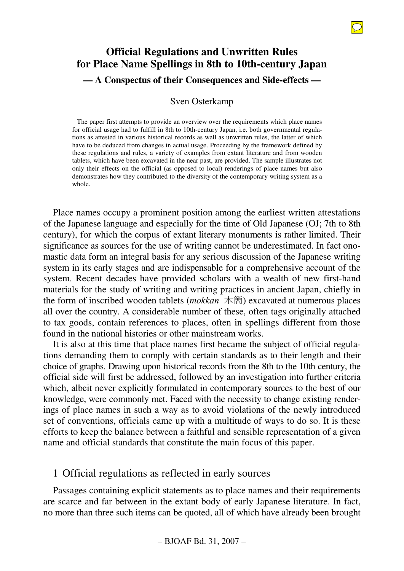# **Official Regulations and Unwritten Rules for Place Name Spellings in 8th to 10th-century Japan — A Conspectus of their Consequences and Side-effects —**

### Sven Osterkamp

The paper first attempts to provide an overview over the requirements which place names for official usage had to fulfill in 8th to 10th-century Japan, i.e. both governmental regulations as attested in various historical records as well as unwritten rules, the latter of which have to be deduced from changes in actual usage. Proceeding by the framework defined by these regulations and rules, a variety of examples from extant literature and from wooden tablets, which have been excavated in the near past, are provided. The sample illustrates not only their effects on the official (as opposed to local) renderings of place names but also demonstrates how they contributed to the diversity of the contemporary writing system as a whole.

Place names occupy a prominent position among the earliest written attestations of the Japanese language and especially for the time of Old Japanese (OJ; 7th to 8th century), for which the corpus of extant literary monuments is rather limited. Their significance as sources for the use of writing cannot be underestimated. In fact onomastic data form an integral basis for any serious discussion of the Japanese writing system in its early stages and are indispensable for a comprehensive account of the system. Recent decades have provided scholars with a wealth of new first-hand materials for the study of writing and writing practices in ancient Japan, chiefly in the form of inscribed wooden tablets (*mokkan* 木簡) excavated at numerous places all over the country. A considerable number of these, often tags originally attached to tax goods, contain references to places, often in spellings different from those found in the national histories or other mainstream works.

It is also at this time that place names first became the subject of official regulations demanding them to comply with certain standards as to their length and their choice of graphs. Drawing upon historical records from the 8th to the 10th century, the official side will first be addressed, followed by an investigation into further criteria which, albeit never explicitly formulated in contemporary sources to the best of our knowledge, were commonly met. Faced with the necessity to change existing renderings of place names in such a way as to avoid violations of the newly introduced set of conventions, officials came up with a multitude of ways to do so. It is these efforts to keep the balance between a faithful and sensible representation of a given name and official standards that constitute the main focus of this paper.

# 1 Official regulations as reflected in early sources

Passages containing explicit statements as to place names and their requirements are scarce and far between in the extant body of early Japanese literature. In fact, no more than three such items can be quoted, all of which have already been brought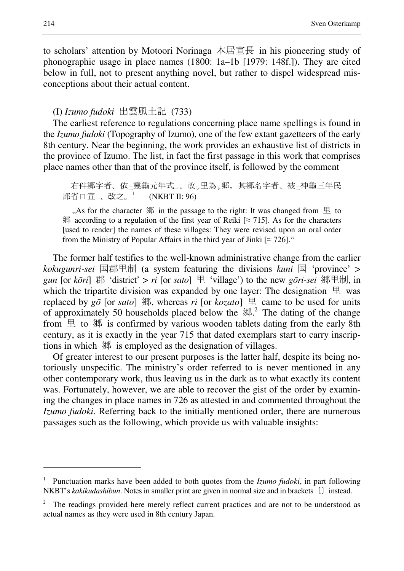to scholars' attention by Motoori Norinaga 本居宣長 in his pioneering study of phonographic usage in place names (1800: 1a–1b [1979: 148f.]). They are cited below in full, not to present anything novel, but rather to dispel widespread misconceptions about their actual content.

### (I) *Izumo fudoki* 出雲風土記 (733)

The earliest reference to regulations concerning place name spellings is found in the *Izumo fudoki* (Topography of Izumo), one of the few extant gazetteers of the early 8th century. Near the beginning, the work provides an exhaustive list of districts in the province of Izumo. The list, in fact the first passage in this work that comprises place names other than that of the province itself, is followed by the comment

右件郷字者、依一靈龜元年式」、改、里為、郷。其郷名字者、被一神龜三年民 部省口宣\_、改之。 (NKBT II: 96)

, As for the character  $\mathfrak M$  in the passage to the right: It was changed from  $\mathfrak \equiv$  to 郷 according to a regulation of the first year of Reiki [≈ 715]. As for the characters [used to render] the names of these villages: They were revised upon an oral order from the Ministry of Popular Affairs in the third year of Jinki  $\lceil \approx 726 \rceil$ ."

The former half testifies to the well-known administrative change from the earlier *kokugunri-sei* 国郡里制 (a system featuring the divisions *kuni* 国 'province' > *gun* [or *kōri*] 郡 'district' > *ri* [or *sato*] 里 'village') to the new *gōri-sei* 郷里制, in which the tripartite division was expanded by one layer: The designation  $\mathbb{E}$  was replaced by  $g\bar{o}$  [or *sato*] 郷, whereas *ri* [or *kozato*] 里 came to be used for units of approximately 50 households placed below the  $\mathfrak{M}^{2}$ . The dating of the change from  $\mathbb{E}$  to  $\mathbb{H}$  is confirmed by various wooden tablets dating from the early 8th century, as it is exactly in the year 715 that dated exemplars start to carry inscriptions in which 郷 is employed as the designation of villages.

Of greater interest to our present purposes is the latter half, despite its being notoriously unspecific. The ministry's order referred to is never mentioned in any other contemporary work, thus leaving us in the dark as to what exactly its content was. Fortunately, however, we are able to recover the gist of the order by examining the changes in place names in 726 as attested in and commented throughout the *Izumo fudoki*. Referring back to the initially mentioned order, there are numerous passages such as the following, which provide us with valuable insights:

<sup>&</sup>lt;sup>1</sup> Punctuation marks have been added to both quotes from the *Izumo fudoki*, in part following NKBT's *kakikudashibun*. Notes in smaller print are given in normal size and in brackets 〔〕 instead.

<sup>2</sup> The readings provided here merely reflect current practices and are not to be understood as actual names as they were used in 8th century Japan.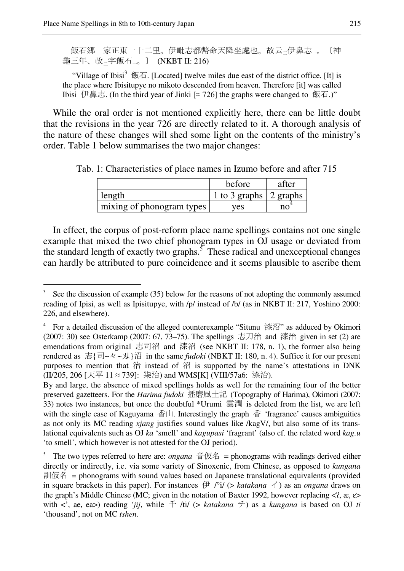$\overline{a}$ 

飯石郷 家正東一十二里。伊毗志都幣命天降坐處也。故云-伊鼻志-。〔神 龜三年、改二字飯石一。〕 (NKBT II: 216)

"Village of Ibisi<sup>3</sup> 飯石. [Located] twelve miles due east of the district office. [It] is the place where Ibisitupye no mikoto descended from heaven. Therefore [it] was called Ibisi 伊鼻志. (In the third year of Jinki [≈ 726] the graphs were changed to 飯石.)"

While the oral order is not mentioned explicitly here, there can be little doubt that the revisions in the year 726 are directly related to it. A thorough analysis of the nature of these changes will shed some light on the contents of the ministry's order. Table 1 below summarises the two major changes:

|                           | before                 | after |
|---------------------------|------------------------|-------|
| length                    | 1 to 3 graphs 2 graphs |       |
| mixing of phonogram types | ves                    | no    |

Tab. 1: Characteristics of place names in Izumo before and after 715

In effect, the corpus of post-reform place name spellings contains not one single example that mixed the two chief phonogram types in OJ usage or deviated from the standard length of exactly two graphs.<sup>5</sup> These radical and unexceptional changes can hardly be attributed to pure coincidence and it seems plausible to ascribe them

<sup>3</sup> See the discussion of example (35) below for the reasons of not adopting the commonly assumed reading of Ipisi, as well as Ipisitupye, with /p/ instead of /b/ (as in NKBT II: 217, Yoshino 2000: 226, and elsewhere).

<sup>4</sup> For a detailed discussion of the alleged counterexample "Situnu 漆沼" as adduced by Okimori (2007: 30) see Osterkamp (2007: 67, 73–75). The spellings 志刀治 and 漆治 given in set (2) are emendations from original 志司沼 and 漆沼 (see NKBT II: 178, n. 1), the former also being rendered as 志{司~々~刄}沼 in the same *fudoki* (NBKT II: 180, n. 4). Suffice it for our present purposes to mention that  $\hat{a}$  instead of  $\hat{a}$  is supported by the name's attestations in DNK (II/205, 206 [天平 11 ≈ 739]: 柒治) and WMS[K] (VIII/57a6: 漆治).

By and large, the absence of mixed spellings holds as well for the remaining four of the better preserved gazetteers. For the *Harima fudoki* 播磨風土記 (Topography of Harima), Okimori (2007: 33) notes two instances, but once the doubtful \*Urumi 雲潤 is deleted from the list, we are left with the single case of Kaguyama 香山. Interestingly the graph 香 'fragrance' causes ambiguities as not only its MC reading *xjang* justifies sound values like /kagV/, but also some of its translational equivalents such as OJ *ka* 'smell' and *kagupasi* 'fragrant' (also cf. the related word *kag.u* 'to smell', which however is not attested for the OJ period).

<sup>5</sup> The two types referred to here are: *ongana* 音仮名 = phonograms with readings derived either directly or indirectly, i.e. via some variety of Sinoxenic, from Chinese, as opposed to *kungana* 訓仮名 = phonograms with sound values based on Japanese translational equivalents (provided in square brackets in this paper). For instances  $\bigoplus$  /°i/ (> *katakana*  $\bigtriangleup$ ) as an *ongana* draws on the graph's Middle Chinese (MC; given in the notation of Baxter 1992, however replacing  $\langle 2, \alpha, \varepsilon \rangle$ with <', ae, ea>) reading *'jij*, while 千 /ti/ (> *katakana* チ) as a *kungana* is based on OJ *ti* 'thousand', not on MC *tshen*.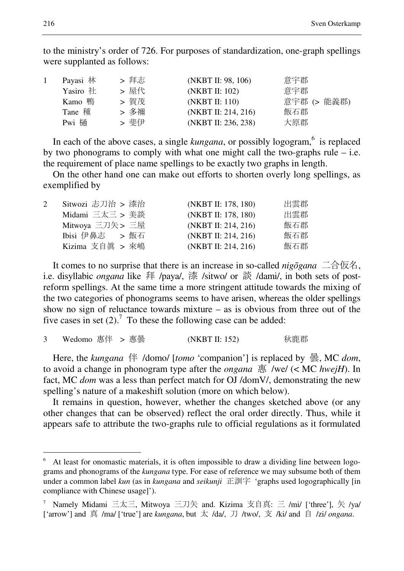to the ministry's order of 726. For purposes of standardization, one-graph spellings were supplanted as follows:

| Payasi 林 | > 拜志 | (NKBT II: 98, 106)  | 意宇郡         |
|----------|------|---------------------|-------------|
| Yasiro 社 | > 屋代 | (NKBT II: 102)      | 意宇郡         |
| Kamo 鴨   | > 賀茂 | (NKBT II: 110)      | 意宇郡 (> 能義郡) |
| Tane 種   | > 多禰 | (NKBT II: 214, 216) | 飯石郡         |
| Pwi 樋    | > 斐伊 | (NKBT II: 236, 238) | 大原郡         |

In each of the above cases, a single *kungana*, or possibly logogram,<sup>6</sup> is replaced by two phonograms to comply with what one might call the two-graphs rule  $-$  i.e. the requirement of place name spellings to be exactly two graphs in length.

On the other hand one can make out efforts to shorten overly long spellings, as exemplified by

| Sitwozi 志刀治 > 漆治 | (NKBT II: 178, 180) | 出雲郡 |
|------------------|---------------------|-----|
| Midami 三太三 > 美談  | (NKBT II: 178, 180) | 出雲郡 |
| Mitwoya 三刀矢 > 三屋 | (NKBT II: 214, 216) | 飯石郡 |
| Ibisi 伊鼻志 > 飯石   | (NKBT II: 214, 216) | 飯石郡 |
| Kizima 支自眞 > 來嶋  | (NKBT II: 214, 216) | 飯石郡 |
|                  |                     |     |

It comes to no surprise that there is an increase in so-called *nig*ō*gana* 二合仮名, i.e. disyllabic *ongana* like 拜 /paya/, 漆 /sitwo/ or 談 /dami/, in both sets of postreform spellings. At the same time a more stringent attitude towards the mixing of the two categories of phonograms seems to have arisen, whereas the older spellings show no sign of reluctance towards mixture – as is obvious from three out of the five cases in set  $(2)$ .<sup>7</sup> To these the following case can be added:

3 Wedomo 惠伴 > 惠曇 (NKBT II: 152) 秋鹿郡

Here, the *kungana* 伴 /domo/ [*tomo* 'companion'] is replaced by 曇, MC *dom*, to avoid a change in phonogram type after the *ongana* 惠 /we/ (< MC *hwejH*). In fact, MC *dom* was a less than perfect match for OJ /domV/, demonstrating the new spelling's nature of a makeshift solution (more on which below).

It remains in question, however, whether the changes sketched above (or any other changes that can be observed) reflect the oral order directly. Thus, while it appears safe to attribute the two-graphs rule to official regulations as it formulated

<sup>6</sup> At least for onomastic materials, it is often impossible to draw a dividing line between logograms and phonograms of the *kungana* type. For ease of reference we may subsume both of them under a common label *kun* (as in *kungana* and *seikunji* 正訓字 'graphs used logographically [in compliance with Chinese usage]').

<sup>7</sup> Namely Midami 三太三, Mitwoya 三刀矢 and. Kizima 支自真: 三 /mi/ ['three'], 矢 /ya/ ['arrow'] and ⌀ /ma/ ['true'] are *kungana*, but 太 /da/, 刀 /two/, 支 /ki/ and 自 /zi/ *ongana*.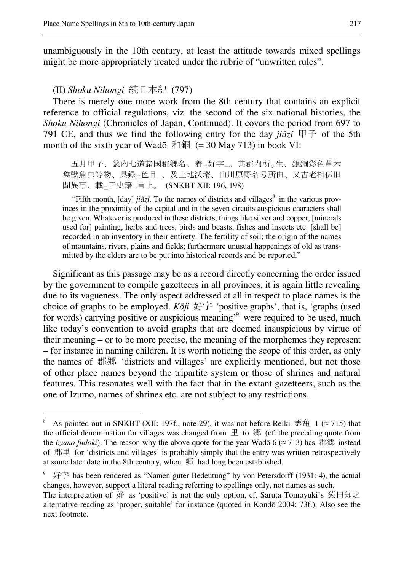unambiguously in the 10th century, at least the attitude towards mixed spellings might be more appropriately treated under the rubric of "unwritten rules".

(II) *Shoku Nihongi* 続日本紀 (797)

 $\overline{a}$ 

next footnote.

There is merely one more work from the 8th century that contains an explicit reference to official regulations, viz. the second of the six national histories, the *Shoku Nihongi* (Chronicles of Japan, Continued). It covers the period from 697 to 791 CE, and thus we find the following entry for the day  $ji\check{a}z\check{i} \not\equiv \hat{f}$  of the 5th month of the sixth year of Wadō  $\bar{x}$  = 30 May 713) in book VI:

 五月甲子、畿内七道諸国郡郷名、着二好字一。其郡内所レ生、銀銅彩色草木 禽獣魚虫等物、具録二色目一、及土地沃塉、山川原野名号所由、又古老相伝旧 聞異事、載二于史籍一言上。 (SNKBT XII: 196, 198)

"Fifth month,  $[day]$  *jiǎzǐ*. To the names of districts and villages<sup>8</sup> in the various provinces in the proximity of the capital and in the seven circuits auspicious characters shall be given. Whatever is produced in these districts, things like silver and copper, [minerals used for] painting, herbs and trees, birds and beasts, fishes and insects etc. [shall be] recorded in an inventory in their entirety. The fertility of soil; the origin of the names of mountains, rivers, plains and fields; furthermore unusual happenings of old as transmitted by the elders are to be put into historical records and be reported."

Significant as this passage may be as a record directly concerning the order issued by the government to compile gazetteers in all provinces, it is again little revealing due to its vagueness. The only aspect addressed at all in respect to place names is the choice of graphs to be employed. *K*ō*ji* 好字 'positive graphs', that is, 'graphs (used for words) carrying positive or auspicious meaning<sup>39</sup> were required to be used, much like today's convention to avoid graphs that are deemed inauspicious by virtue of their meaning – or to be more precise, the meaning of the morphemes they represent – for instance in naming children. It is worth noticing the scope of this order, as only the names of 郡郷 'districts and villages' are explicitly mentioned, but not those of other place names beyond the tripartite system or those of shrines and natural features. This resonates well with the fact that in the extant gazetteers, such as the one of Izumo, names of shrines etc. are not subject to any restrictions.

<sup>8</sup> As pointed out in SNKBT (XII: 197f., note 29), it was not before Reiki 霊亀 1 (≈ 715) that the official denomination for villages was changed from  $\mathbf{\underline{H}}$  to  $\mathbf{\underline{W}}$  (cf. the preceding quote from the *Izumo fudoki*). The reason why the above quote for the year Wadō  $6 \approx 713$ ) has 郡郷 instead of 郡里 for 'districts and villages' is probably simply that the entry was written retrospectively at some later date in the 8th century, when 郷 had long been established.

好字 has been rendered as "Namen guter Bedeutung" by von Petersdorff (1931: 4), the actual changes, however, support a literal reading referring to spellings only, not names as such. The interpretation of  $#$  as 'positive' is not the only option, cf. Saruta Tomoyuki's 猿田知之 alternative reading as 'proper, suitable' for instance (quoted in Kondō 2004: 73f.). Also see the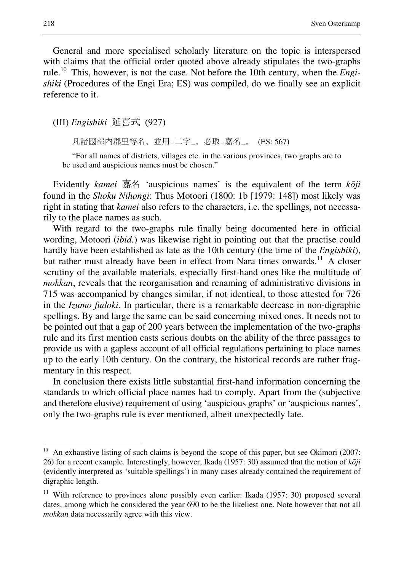General and more specialised scholarly literature on the topic is interspersed with claims that the official order quoted above already stipulates the two-graphs rule.<sup>10</sup> This, however, is not the case. Not before the 10th century, when the *Engishiki* (Procedures of the Engi Era; ES) was compiled, do we finally see an explicit reference to it.

(III) *Engishiki* 延喜式 (927)

凡諸國部内郡里等名。並用–二字<sub>一</sub>。必取–嘉名–。 (ES: 567)

"For all names of districts, villages etc. in the various provinces, two graphs are to be used and auspicious names must be chosen."

Evidently *kamei* 嘉名 'auspicious names' is the equivalent of the term *k*ō*ji* found in the *Shoku Nihongi*: Thus Motoori (1800: 1b [1979: 148]) most likely was right in stating that *kamei* also refers to the characters, i.e. the spellings, not necessarily to the place names as such.

With regard to the two-graphs rule finally being documented here in official wording, Motoori (*ibid.*) was likewise right in pointing out that the practise could hardly have been established as late as the 10th century (the time of the *Engishiki*), but rather must already have been in effect from Nara times onwards.<sup>11</sup> A closer scrutiny of the available materials, especially first-hand ones like the multitude of *mokkan*, reveals that the reorganisation and renaming of administrative divisions in 715 was accompanied by changes similar, if not identical, to those attested for 726 in the *Izumo fudoki*. In particular, there is a remarkable decrease in non-digraphic spellings. By and large the same can be said concerning mixed ones. It needs not to be pointed out that a gap of 200 years between the implementation of the two-graphs rule and its first mention casts serious doubts on the ability of the three passages to provide us with a gapless account of all official regulations pertaining to place names up to the early 10th century. On the contrary, the historical records are rather fragmentary in this respect.

In conclusion there exists little substantial first-hand information concerning the standards to which official place names had to comply. Apart from the (subjective and therefore elusive) requirement of using 'auspicious graphs' or 'auspicious names', only the two-graphs rule is ever mentioned, albeit unexpectedly late.

<sup>&</sup>lt;sup>10</sup> An exhaustive listing of such claims is beyond the scope of this paper, but see Okimori (2007: 26) for a recent example. Interestingly, however, Ikada (1957: 30) assumed that the notion of *k*ō*ji* (evidently interpreted as 'suitable spellings') in many cases already contained the requirement of digraphic length.

<sup>&</sup>lt;sup>11</sup> With reference to provinces alone possibly even earlier: Ikada (1957: 30) proposed several dates, among which he considered the year 690 to be the likeliest one. Note however that not all *mokkan* data necessarily agree with this view.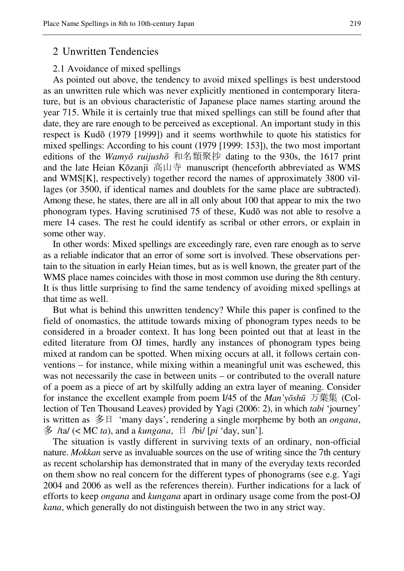### 2 Unwritten Tendencies

#### 2.1 Avoidance of mixed spellings

As pointed out above, the tendency to avoid mixed spellings is best understood as an unwritten rule which was never explicitly mentioned in contemporary literature, but is an obvious characteristic of Japanese place names starting around the year 715. While it is certainly true that mixed spellings can still be found after that date, they are rare enough to be perceived as exceptional. An important study in this respect is Kudō (1979 [1999]) and it seems worthwhile to quote his statistics for mixed spellings: According to his count (1979 [1999: 153]), the two most important editions of the *Wamy*ō *ruijush*ō 和名類聚抄 dating to the 930s, the 1617 print and the late Heian Kōzanji 高山寺 manuscript (henceforth abbreviated as WMS and WMS[K], respectively) together record the names of approximately 3800 villages (or 3500, if identical names and doublets for the same place are subtracted). Among these, he states, there are all in all only about 100 that appear to mix the two phonogram types. Having scrutinised 75 of these, Kudō was not able to resolve a mere 14 cases. The rest he could identify as scribal or other errors, or explain in some other way.

In other words: Mixed spellings are exceedingly rare, even rare enough as to serve as a reliable indicator that an error of some sort is involved. These observations pertain to the situation in early Heian times, but as is well known, the greater part of the WMS place names coincides with those in most common use during the 8th century. It is thus little surprising to find the same tendency of avoiding mixed spellings at that time as well.

But what is behind this unwritten tendency? While this paper is confined to the field of onomastics, the attitude towards mixing of phonogram types needs to be considered in a broader context. It has long been pointed out that at least in the edited literature from OJ times, hardly any instances of phonogram types being mixed at random can be spotted. When mixing occurs at all, it follows certain conventions – for instance, while mixing within a meaningful unit was eschewed, this was not necessarily the case in between units – or contributed to the overall nature of a poem as a piece of art by skilfully adding an extra layer of meaning. Consider for instance the excellent example from poem I/45 of the *Man'y*ō*sh*ū 万葉集 (Collection of Ten Thousand Leaves) provided by Yagi (2006: 2), in which *tabi* 'journey' is written as 多日 'many days', rendering a single morpheme by both an *ongana*, 多 /ta/ (< MC *ta*), and a *kungana*, 日 /bi/ [*pi* 'day, sun'].

The situation is vastly different in surviving texts of an ordinary, non-official nature. *Mokkan* serve as invaluable sources on the use of writing since the 7th century as recent scholarship has demonstrated that in many of the everyday texts recorded on them show no real concern for the different types of phonograms (see e.g. Yagi 2004 and 2006 as well as the references therein). Further indications for a lack of efforts to keep *ongana* and *kungana* apart in ordinary usage come from the post-OJ *kana*, which generally do not distinguish between the two in any strict way.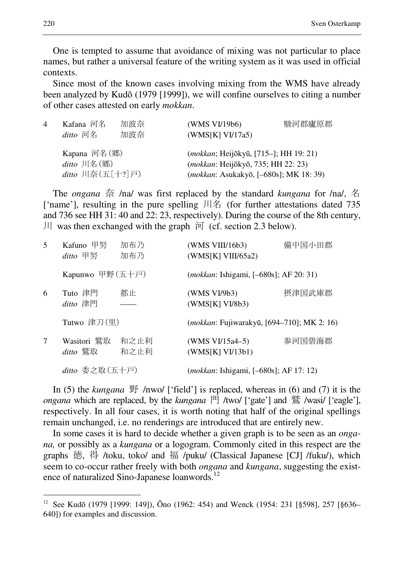One is tempted to assume that avoidance of mixing was not particular to place names, but rather a universal feature of the writing system as it was used in official contexts.

Since most of the known cases involving mixing from the WMS have already been analyzed by Kudō (1979 [1999]), we will confine ourselves to citing a number of other cases attested on early *mokkan*.

| 4 | Kafana 河名<br>ditto 河名                                                                          | 加波奈<br>加波奈 | (WMS VI/19b6)<br>(WMS[K] VI/17a5)                                                                                                                | 駿河郡廬原郡 |
|---|------------------------------------------------------------------------------------------------|------------|--------------------------------------------------------------------------------------------------------------------------------------------------|--------|
|   | Kapana 河名(郷)<br>$ditto$ 川名 $(\mathcal{H})$<br>ditto 川奈 $(\pm [+] \,\overline{\triangleright})$ |            | ( <i>mokkan</i> ; Heijōkyū, [715–]; HH 19: 21)<br>( <i>mokkan</i> : Heijōkyō, 735; HH 22: 23)<br>( <i>mokkan</i> : Asukakyō, [-680s]; MK 18: 39) |        |

The *ongana* 奈 /na/ was first replaced by the standard *kungana* for /na/, 名 ['name'], resulting in the pure spelling 川名 (for further attestations dated 735 and 736 see HH 31: 40 and 22: 23, respectively). During the course of the 8th century, 川 was then exchanged with the graph  $\overline{p}$  (cf. section 2.3 below).

| 5 | Kafuno 甲努<br>ditto 甲努   | 加布乃<br>加布乃   | (WMS VIII/16b3)<br>(WMS[K] VIII/65a2)               | 備中国小田郡 |
|---|-------------------------|--------------|-----------------------------------------------------|--------|
|   | Kapunwo 甲野(五十戸)         |              | <i>(mokkan: Ishigami, [-680s]; AF 20: 31)</i>       |        |
| 6 | Tuto 津門<br>ditto 津門     | 都止           | (WMS VI/9b3)<br>(WMS[K] VI/8b3)                     | 摂津国武庫郡 |
|   | Tutwo 津刀(里)             |              | ( <i>mokkan</i> : Fujiwarakyū, [694–710]; MK 2: 16) |        |
| 7 | Wasitori 鷲取<br>ditto 鷲取 | 和之止利<br>和之止利 | (WMS $VI/15a4-5$ )<br>(WMS[K] V1/13b1)              | 参河国碧海郡 |
|   | $ditto$ 委之取 $($ 五十戸 $)$ |              | ( <i>mokkan</i> : Ishigami, [-680s]; AF 17: 12)     |        |

In (5) the *kungana* 野 /nwo/ ['field'] is replaced, whereas in (6) and (7) it is the *ongana* which are replaced, by the *kungana* 門 /two/ ['gate'] and 鷲 /wasi/ ['eagle'], respectively. In all four cases, it is worth noting that half of the original spellings remain unchanged, i.e. no renderings are introduced that are entirely new.

In some cases it is hard to decide whether a given graph is to be seen as an *ongana,* or possibly as a *kungana* or a logogram. Commonly cited in this respect are the graphs 徳, 得 /toku, toko/ and 福 /puku/ (Classical Japanese [CJ] /fuku/), which seem to co-occur rather freely with both *ongana* and *kungana*, suggesting the existence of naturalized Sino-Japanese loanwords.<sup>12</sup>

<sup>12</sup> See Kudō (1979 [1999: 149]), Ōno (1962: 454) and Wenck (1954: 231 [§598], 257 [§636– 640]) for examples and discussion.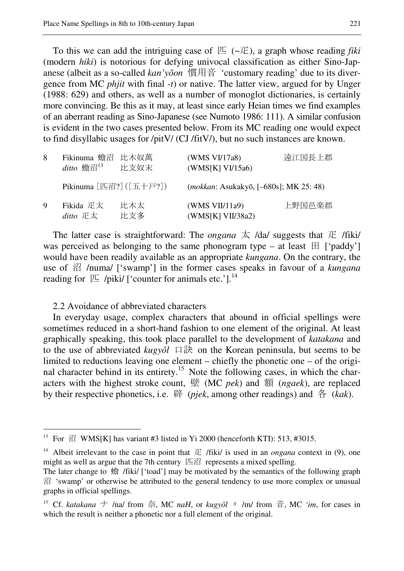To this we can add the intriguing case of  $E$  ( $\sim$  $E$ ), a graph whose reading *fiki* (modern *hiki*) is notorious for defying univocal classification as either Sino-Japanese (albeit as a so-called *kan'y*ō*on* 慣用音 'customary reading' due to its divergence from MC *phjit* with final *-t*) or native. The latter view, argued for by Unger (1988: 629) and others, as well as a number of monoglot dictionaries, is certainly more convincing. Be this as it may, at least since early Heian times we find examples of an aberrant reading as Sino-Japanese (see Numoto 1986: 111). A similar confusion is evident in the two cases presented below. From its MC reading one would expect to find disyllabic usages for /pitV/ (CJ /fitV/), but no such instances are known.

| 8           | Fikinuma 蟾沼 比木奴萬<br>$\emph{ditto}$ 蟾沼 $^{13}$                                                                       | 比支奴末       | (WMS VI/17a8)<br>(WMS[K] VI/15a6)               | 遠江国長上郡 |
|-------------|---------------------------------------------------------------------------------------------------------------------|------------|-------------------------------------------------|--------|
|             | Pikinuma $[\n\mathbb{E} \mathbb{E} \mathbb{E}$ ? ( $[\n\mathbb{E} + \overline{\mathbb{F}} \mathbb{E} \mathbb{E}]$ ) |            | ( <i>mokkan</i> : Asukakyō, [-680s]; MK 25: 48) |        |
| $\mathbf Q$ | Fikida 疋太<br>ditto $E\bar{\mathbf{x}}$                                                                              | 比木太<br>比支多 | (WMS VII/11a9)<br>(WMS[K] VII/38a2)             | 上野国邑楽郡 |

The latter case is straightforward: The *ongana*  $\overline{\mathcal{K}}$  /da/ suggests that  $\overline{\mathcal{K}}$  /fiki/ was perceived as belonging to the same phonogram type – at least  $\boxplus$  ['paddy'] would have been readily available as an appropriate *kungana*. On the contrary, the use of 沼 /numa/ ['swamp'] in the former cases speaks in favour of a *kungana* reading for  $\mathbb E$  /piki/ ['counter for animals etc.'].<sup>14</sup>

2.2 Avoidance of abbreviated characters

 $\overline{a}$ 

In everyday usage, complex characters that abound in official spellings were sometimes reduced in a short-hand fashion to one element of the original. At least graphically speaking, this took place parallel to the development of *katakana* and to the use of abbreviated  $kugy\delta l$  口訣 on the Korean peninsula, but seems to be limited to reductions leaving one element – chiefly the phonetic one – of the original character behind in its entirety.<sup>15</sup> Note the following cases, in which the characters with the highest stroke count, 壁 (MC *pek*) and 額 (*ngaek*), are replaced by their respective phonetics, i.e. 辟 (*pjek*, among other readings) and 各 (*kak*).

<sup>&</sup>lt;sup>13</sup> For  $\mathbb{Z}$  WMS[K] has variant #3 listed in Yi 2000 (henceforth KTI): 513, #3015.

<sup>&</sup>lt;sup>14</sup> Albeit irrelevant to the case in point that  $E$  /fiki/ is used in an *ongana* context in (9), one might as well as argue that the 7th century  $\mathbb{E} \mathbb{Y}$  represents a mixed spelling.

The later change to 蟾 /fiki/ ['toad'] may be motivated by the semantics of the following graph 沼 'swamp' or otherwise be attributed to the general tendency to use more complex or unusual graphs in official spellings.

<sup>&</sup>lt;sup>15</sup> Cf. *katakana* ナ /na/ from 奈, MC *naH*, or *kugyǒl* <u>È</u> /m/ from 音, MC *'im*, for cases in which the result is neither a phonetic nor a full element of the original.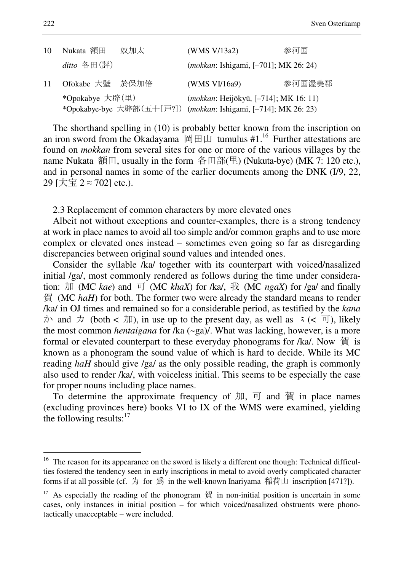| 10 | Nukata 額田       | 奴加太 | (WMS V/13a2)                                                    | 参河国    |
|----|-----------------|-----|-----------------------------------------------------------------|--------|
|    | $ditto$ 各田(評)   |     | ( <i>mokkan</i> : Ishigami, [-701]; MK 26: 24)                  |        |
| 11 | Ofokabe 大壁 於保加倍 |     | (WMS VI/16a9)                                                   | 参河国渥美郡 |
|    | *Opokabye 大辟(里) |     | (mokkan: Heijōkyū, [-714]; MK 16: 11)                           |        |
|    |                 |     | *Opokabye-bye 大辟部(五十[戸?]) (mokkan: Ishigami, [-714]; MK 26: 23) |        |

The shorthand spelling in (10) is probably better known from the inscription on an iron sword from the Okadayama 岡田山 tumulus #1.<sup>16</sup> Further attestations are found on *mokkan* from several sites for one or more of the various villages by the name Nukata 額田, usually in the form 各田部(里) (Nukuta-bye) (MK 7: 120 etc.), and in personal names in some of the earlier documents among the DNK (I/9, 22, 29 [大宝 2 ≈ 702] etc.).

2.3 Replacement of common characters by more elevated ones

Albeit not without exceptions and counter-examples, there is a strong tendency at work in place names to avoid all too simple and/or common graphs and to use more complex or elevated ones instead – sometimes even going so far as disregarding discrepancies between original sound values and intended ones.

Consider the syllable /ka/ together with its counterpart with voiced/nasalized initial /ga/, most commonly rendered as follows during the time under consideration: 加 (MC *kae*) and 可 (MC *khaX*) for /ka/, 我 (MC *ngaX*) for /ga/ and finally 賀 (MC *haH*) for both. The former two were already the standard means to render /ka/ in OJ times and remained so for a considerable period, as testified by the *kana*  $\forall$  and  $\forall$  (both <  $\exists$  II), in use up to the present day, as well as  $\leq$  (<  $\exists$  I), likely the most common *hentaigana* for /ka (~ga)/. What was lacking, however, is a more formal or elevated counterpart to these everyday phonograms for /ka/. Now 賀 is known as a phonogram the sound value of which is hard to decide. While its MC reading *haH* should give /ga/ as the only possible reading, the graph is commonly also used to render /ka/, with voiceless initial. This seems to be especially the case for proper nouns including place names.

To determine the approximate frequency of  $\pi$ ,  $\overline{p}$  and  $\overline{g}$  in place names (excluding provinces here) books VI to IX of the WMS were examined, yielding the following results: $17$ 

 $16$  The reason for its appearance on the sword is likely a different one though: Technical difficulties fostered the tendency seen in early inscriptions in metal to avoid overly complicated character forms if at all possible (cf. 为 for 爲 in the well-known Inariyama 稲荷山 inscription [471?]).

 $17$  As especially the reading of the phonogram 賀 in non-initial position is uncertain in some cases, only instances in initial position – for which voiced/nasalized obstruents were phonotactically unacceptable – were included.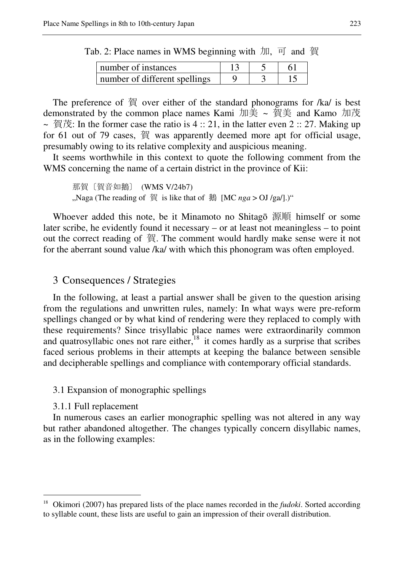Tab. 2: Place names in WMS beginning with  $\pi$ , 可 and 賀

| number of instances             |  |  |
|---------------------------------|--|--|
| I number of different spellings |  |  |

The preference of 賀 over either of the standard phonograms for /ka/ is best demonstrated by the common place names Kami 加美 ~ 賀美 and Kamo 加茂  $\sim \text{ffit}$ : In the former case the ratio is 4 :: 21, in the latter even 2 :: 27. Making up for 61 out of 79 cases, 賀 was apparently deemed more apt for official usage, presumably owing to its relative complexity and auspicious meaning.

It seems worthwhile in this context to quote the following comment from the WMS concerning the name of a certain district in the province of Kii:

那賀〔賀音如鵝〕 (WMS V/24b7) "Naga (The reading of 賀 is like that of 鵝 [MC *nga* > OJ /ga/].)"

Whoever added this note, be it Minamoto no Shitagō 源順 himself or some later scribe, he evidently found it necessary – or at least not meaningless – to point out the correct reading of 賀. The comment would hardly make sense were it not for the aberrant sound value /ka/ with which this phonogram was often employed.

# 3 Consequences / Strategies

In the following, at least a partial answer shall be given to the question arising from the regulations and unwritten rules, namely: In what ways were pre-reform spellings changed or by what kind of rendering were they replaced to comply with these requirements? Since trisyllabic place names were extraordinarily common and quatrosyllabic ones not rare either,  $18$  it comes hardly as a surprise that scribes faced serious problems in their attempts at keeping the balance between sensible and decipherable spellings and compliance with contemporary official standards.

#### 3.1 Expansion of monographic spellings

#### 3.1.1 Full replacement

 $\overline{a}$ 

In numerous cases an earlier monographic spelling was not altered in any way but rather abandoned altogether. The changes typically concern disyllabic names, as in the following examples:

<sup>&</sup>lt;sup>18</sup> Okimori (2007) has prepared lists of the place names recorded in the *fudoki*. Sorted according to syllable count, these lists are useful to gain an impression of their overall distribution.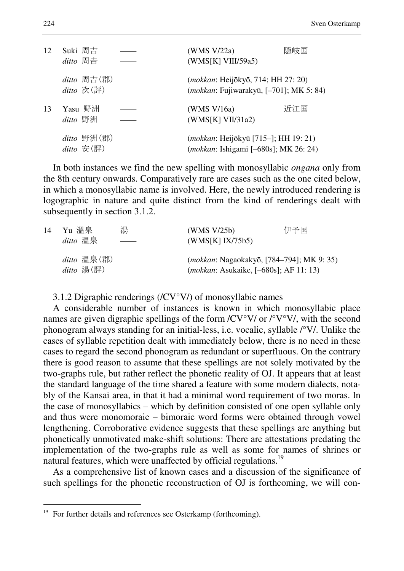| 12 | Suki 周吉<br>$ditto$ 周吉                            | (WMS V/22a)<br>(WMS[K] VIII/59a5)                                                               | 隠岐国 |
|----|--------------------------------------------------|-------------------------------------------------------------------------------------------------|-----|
|    | $ditto$ 周吉(郡)<br>ditto 次(評)                      | (mokkan: Heijōkyō, 714; HH 27: 20)<br>( <i>mokkan</i> : Fujiwarakyū, [-701]; MK 5: 84)          |     |
| 13 | Yasu 野洲<br>ditto 野洲                              | (WMS V/16a)<br>(WMS[K] VII/31a2)                                                                | 近江国 |
|    | $ditto \; \mathbb{F}M(\mathbb{H})$<br>ditto 安(評) | ( <i>mokkan</i> : Heijōkyū [715–]; HH 19: 21)<br>( <i>mokkan</i> : Ishigami [-680s]; MK 26: 24) |     |

In both instances we find the new spelling with monosyllabic *ongana* only from the 8th century onwards. Comparatively rare are cases such as the one cited below, in which a monosyllabic name is involved. Here, the newly introduced rendering is logographic in nature and quite distinct from the kind of renderings dealt with subsequently in section 3.1.2.

| 14 | Yu 溫泉                         | 湯 | (WMS V/25b)                                                                                      | 伊予国 |
|----|-------------------------------|---|--------------------------------------------------------------------------------------------------|-----|
|    | ditto 温泉                      |   | (WMS[K] IX/75b5)                                                                                 |     |
|    | $ditto$ 温泉(郡)<br>$ditto$ 湯(評) |   | <i>(mokkan: Nagaokakyō, [784–794]; MK 9: 35)</i><br><i>(mokkan: Asukaike, [-680s]; AF 11:13)</i> |     |

3.1.2 Digraphic renderings (/CV°V/) of monosyllabic names

A considerable number of instances is known in which monosyllabic place names are given digraphic spellings of the form /CV°V/ or /°V°V/, with the second phonogram always standing for an initial-less, i.e. vocalic, syllable /°V/. Unlike the cases of syllable repetition dealt with immediately below, there is no need in these cases to regard the second phonogram as redundant or superfluous. On the contrary there is good reason to assume that these spellings are not solely motivated by the two-graphs rule, but rather reflect the phonetic reality of OJ. It appears that at least the standard language of the time shared a feature with some modern dialects, notably of the Kansai area, in that it had a minimal word requirement of two moras. In the case of monosyllabics – which by definition consisted of one open syllable only and thus were monomoraic – bimoraic word forms were obtained through vowel lengthening. Corroborative evidence suggests that these spellings are anything but phonetically unmotivated make-shift solutions: There are attestations predating the implementation of the two-graphs rule as well as some for names of shrines or natural features, which were unaffected by official regulations.<sup>19</sup>

As a comprehensive list of known cases and a discussion of the significance of such spellings for the phonetic reconstruction of OJ is forthcoming, we will con-

 $19$  For further details and references see Osterkamp (forthcoming).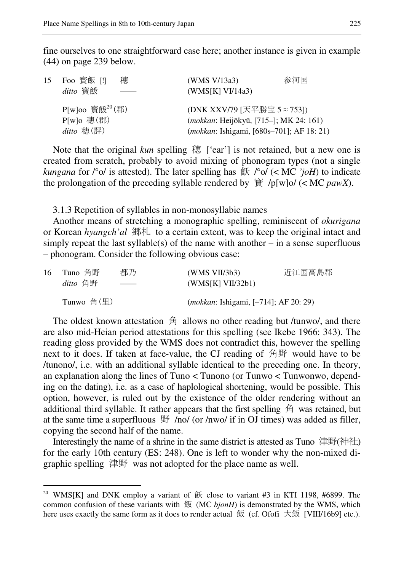fine ourselves to one straightforward case here; another instance is given in example (44) on page 239 below.

| 15 Foo 寳飯 [!]<br>ditto 寳餦                                       | 穂 | (WMS V/13a3)<br>(WMS[K] VI/14a3)                                                                                                     | 参河国 |
|-----------------------------------------------------------------|---|--------------------------------------------------------------------------------------------------------------------------------------|-----|
| $P[w]$ oo 寶餦 <sup>20</sup> (郡)<br>$P[w]$ o 穂(郡)<br>$ditto$ 穂(評) |   | (DNK XXV/79 [天平勝宝 5 ≈ 753])<br>( <i>mokkan</i> : Heijōkyū, [715–]; MK 24: 161)<br>( <i>mokkan</i> : Ishigami, [680s-701]; AF 18: 21) |     |

Note that the original *kun* spelling 穂 ['ear'] is not retained, but a new one is created from scratch, probably to avoid mixing of phonogram types (not a single *kungana* for  $\int^{\infty}$  ol is attested). The later spelling has  $\frac{2}{\pi}$   $\int^{\infty}$  ol (< MC *'joH*) to indicate the prolongation of the preceding syllable rendered by  $\tilde{g}/p[w]$ o/ (< MC *pawX*).

3.1.3 Repetition of syllables in non-monosyllabic names

Another means of stretching a monographic spelling, reminiscent of *okurigana* or Korean *hyangch'al* 郷札 to a certain extent, was to keep the original intact and simply repeat the last syllable(s) of the name with another  $-$  in a sense superfluous – phonogram. Consider the following obvious case:

| 16 | Tuno 角野    | 都乃                                                                                                                                                                                                                                                                                                                                                                                                                                                                                   | (WMS VII/3b3)                                  | 近江国高島郡 |
|----|------------|--------------------------------------------------------------------------------------------------------------------------------------------------------------------------------------------------------------------------------------------------------------------------------------------------------------------------------------------------------------------------------------------------------------------------------------------------------------------------------------|------------------------------------------------|--------|
|    | ditto 角野   | $\begin{tabular}{cccccc} \multicolumn{2}{c}{} & \multicolumn{2}{c}{} & \multicolumn{2}{c}{} & \multicolumn{2}{c}{} & \multicolumn{2}{c}{} & \multicolumn{2}{c}{} & \multicolumn{2}{c}{} & \multicolumn{2}{c}{} & \multicolumn{2}{c}{} & \multicolumn{2}{c}{} & \multicolumn{2}{c}{} & \multicolumn{2}{c}{} & \multicolumn{2}{c}{} & \multicolumn{2}{c}{} & \multicolumn{2}{c}{} & \multicolumn{2}{c}{} & \multicolumn{2}{c}{} & \multicolumn{2}{c}{} & \multicolumn{2}{c}{} & \mult$ | (WMS[K] VII/32b1)                              |        |
|    | Tunwo 角(里) |                                                                                                                                                                                                                                                                                                                                                                                                                                                                                      | ( <i>mokkan</i> : Ishigami, [-714]; AF 20: 29) |        |

The oldest known attestation 角 allows no other reading but /tunwo/, and there are also mid-Heian period attestations for this spelling (see Ikebe 1966: 343). The reading gloss provided by the WMS does not contradict this, however the spelling next to it does. If taken at face-value, the CJ reading of 角野 would have to be /tunono/, i.e. with an additional syllable identical to the preceding one. In theory, an explanation along the lines of Tuno < Tunono (or Tunwo < Tunwonwo, depending on the dating), i.e. as a case of haplological shortening, would be possible. This option, however, is ruled out by the existence of the older rendering without an additional third syllable. It rather appears that the first spelling 角 was retained, but at the same time a superfluous 野 /no/ (or /nwo/ if in OJ times) was added as filler, copying the second half of the name.

Interestingly the name of a shrine in the same district is attested as Tuno 津野(神社) for the early 10th century (ES: 248). One is left to wonder why the non-mixed digraphic spelling 津野 was not adopted for the place name as well.

<sup>&</sup>lt;sup>20</sup> WMS[K] and DNK employ a variant of  $\text{f}$  close to variant #3 in KTI 1198, #6899. The common confusion of these variants with 飯 (MC *bjonH*) is demonstrated by the WMS, which here uses exactly the same form as it does to render actual  $\Im$  (cf. Ofofi  $\pm \Im$  [VIII/16b9] etc.).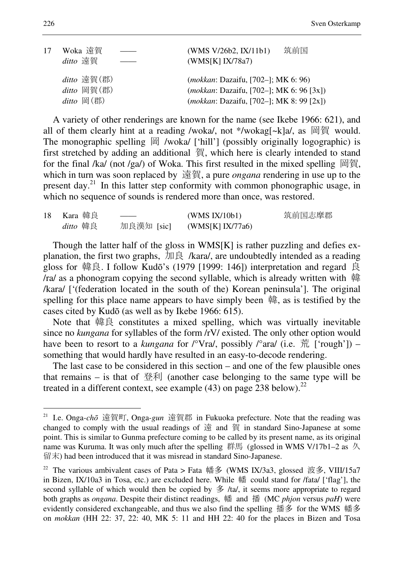| 17 | Woka 遠賀<br>ditto 遠賀                        | 筑前国<br>(WMS V/26b2, IX/11b1)<br>(WMS[K] IX/78a7)                                                                                                     |  |
|----|--------------------------------------------|------------------------------------------------------------------------------------------------------------------------------------------------------|--|
|    | ditto 遠賀(郡)<br>ditto 岡賀(郡)<br>$ditto$ 岡(郡) | <i>(mokkan: Dazaifu, [702-]; MK 6: 96)</i><br>( <i>mokkan</i> : Dazaifu, [702–]; MK 6: 96 [3x])<br>( <i>mokkan</i> : Dazaifu, [702-]; MK 8: 99 [2x]) |  |

A variety of other renderings are known for the name (see Ikebe 1966: 621), and all of them clearly hint at a reading /woka/, not \*/wokag[~k]a/, as 岡賀 would. The monographic spelling  $\boxplus$  /woka/ ['hill'] (possibly originally logographic) is first stretched by adding an additional 賀, which here is clearly intended to stand for the final /ka/ (not /ga/) of Woka. This first resulted in the mixed spelling 岡賀, which in turn was soon replaced by 遠賀, a pure *ongana* rendering in use up to the present day.<sup>21</sup> In this latter step conformity with common phonographic usage, in which no sequence of sounds is rendered more than once, was restored.

| 18 | Kara 韓良  | ______     | (WMS IX/10b1)    | 筑前国志摩郡 |
|----|----------|------------|------------------|--------|
|    | ditto 韓良 | 加良漢知 [sic] | (WMS[K] IX/77a6) |        |

Though the latter half of the gloss in WMS[K] is rather puzzling and defies explanation, the first two graphs, 加良 /kara/, are undoubtedly intended as a reading gloss for 韓良. I follow Kudō's (1979 [1999: 146]) interpretation and regard 良 /ra/ as a phonogram copying the second syllable, which is already written with 韓 /kara/ ['(federation located in the south of the) Korean peninsula']. The original spelling for this place name appears to have simply been 韓, as is testified by the cases cited by Kudō (as well as by Ikebe 1966: 615).

Note that 韓良 constitutes a mixed spelling, which was virtually inevitable since no *kungana* for syllables of the form /rV/ existed. The only other option would have been to resort to a *kungana* for  $\sqrt{\alpha}$  /°  $\alpha$  /°  $\alpha$  /°  $\alpha$  /°  $\alpha$  (i.e.  $\frac{2\pi}{10}$  ['rough']) – something that would hardly have resulted in an easy-to-decode rendering.

The last case to be considered in this section – and one of the few plausible ones that remains – is that of 登利 (another case belonging to the same type will be treated in a different context, see example (43) on page  $\tilde{2}38$  below).<sup>22</sup>

<sup>21</sup> I.e. Onga*-ch*ō 遠賀町, Onga*-gun* 遠賀郡 in Fukuoka prefecture. Note that the reading was changed to comply with the usual readings of 遠 and 賀 in standard Sino-Japanese at some point. This is similar to Gunma prefecture coming to be called by its present name, as its original name was Kuruma. It was only much after the spelling 群馬 (glossed in WMS V/17b1-2 as 久 留末) had been introduced that it was misread in standard Sino-Japanese.

<sup>&</sup>lt;sup>22</sup> The various ambivalent cases of Pata > Fata 幡多 (WMS IX/3a3, glossed 波多, VIII/15a7 in Bizen, IX/10a3 in Tosa, etc.) are excluded here. While 幡 could stand for /fata/ ['flag'], the second syllable of which would then be copied by 多 /ta/, it seems more appropriate to regard both graphs as *ongana*. Despite their distinct readings, 幡 and 播 (MC *phjon* versus *paH*) were evidently considered exchangeable, and thus we also find the spelling 播多 for the WMS 幡多 on *mokkan* (HH 22: 37, 22: 40, MK 5: 11 and HH 22: 40 for the places in Bizen and Tosa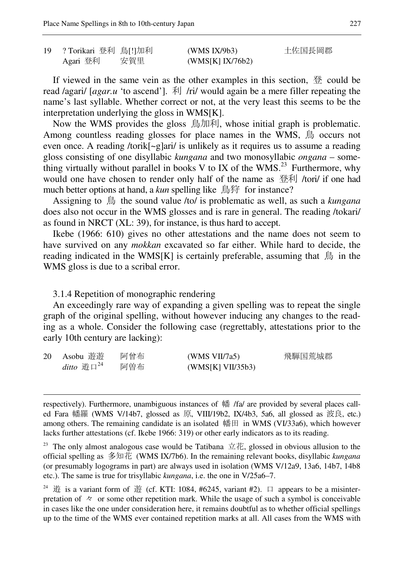| 19 | ?Torikari 登利 鳥[!]加利 |     | (WMS IX/9b3)     | 土佐国長岡郡 |
|----|---------------------|-----|------------------|--------|
|    | Agari 登利            | 安賀里 | (WMS[K] IX/76b2) |        |

If viewed in the same vein as the other examples in this section,  $\frac{\pi x}{2}$  could be read /agari/ [*agar.u* 'to ascend']. 利 /ri/ would again be a mere filler repeating the name's last syllable. Whether correct or not, at the very least this seems to be the interpretation underlying the gloss in WMS[K].

Now the WMS provides the gloss 鳥加利, whose initial graph is problematic. Among countless reading glosses for place names in the WMS, 鳥 occurs not even once. A reading /torik[~g]ari/ is unlikely as it requires us to assume a reading gloss consisting of one disyllabic *kungana* and two monosyllabic *ongana* – something virtually without parallel in books V to IX of the WMS.<sup>23</sup> Furthermore, why would one have chosen to render only half of the name as 登利 /tori/ if one had much better options at hand, a *kun* spelling like 鳥狩 for instance?

Assigning to 鳥 the sound value /to/ is problematic as well, as such a *kungana* does also not occur in the WMS glosses and is rare in general. The reading /tokari/ as found in NRCT (XL: 39), for instance, is thus hard to accept.

Ikebe (1966: 610) gives no other attestations and the name does not seem to have survived on any *mokkan* excavated so far either. While hard to decide, the reading indicated in the WMS[K] is certainly preferable, assuming that  $\hat{\mathbb{B}}$  in the WMS gloss is due to a scribal error.

### 3.1.4 Repetition of monographic rendering

 $\overline{a}$ 

An exceedingly rare way of expanding a given spelling was to repeat the single graph of the original spelling, without however inducing any changes to the reading as a whole. Consider the following case (regrettably, attestations prior to the early 10th century are lacking):

20 Asobu 遊遊 阿曾布 (WMS VII/7a5) 飛騨国荒城郡  $d$ *itto* 遊口<sup>24</sup> 阿曽布 (WMS[K] VII/35b3)

respectively). Furthermore, unambiguous instances of 幡 /fa/ are provided by several places called Fara 幡羅 (WMS V/14b7, glossed as 原, VIII/19b2, IX/4b3, 5a6, all glossed as 波良, etc.) among others. The remaining candidate is an isolated 幡田 in WMS (VI/33a6), which however lacks further attestations (cf. Ikebe 1966: 319) or other early indicators as to its reading.

<sup>&</sup>lt;sup>23</sup> The only almost analogous case would be Tatibana  $\pm \pi$ , glossed in obvious allusion to the official spelling as 多知花 (WMS IX/7b6). In the remaining relevant books, disyllabic *kungana* (or presumably logograms in part) are always used in isolation (WMS V/12a9, 13a6, 14b7, 14b8 etc.). The same is true for trisyllabic *kungana*, i.e. the one in V/25a6–7.

<sup>&</sup>lt;sup>24</sup> 逰 is a variant form of 遊 (cf. KTI: 1084, #6245, variant #2).  $\Box$  appears to be a misinterpretation of  $\sim$  or some other repetition mark. While the usage of such a symbol is conceivable in cases like the one under consideration here, it remains doubtful as to whether official spellings up to the time of the WMS ever contained repetition marks at all. All cases from the WMS with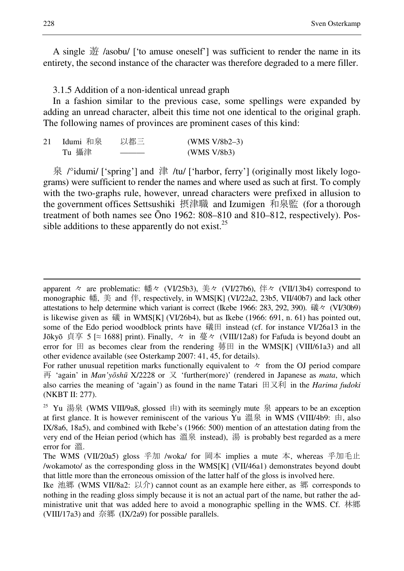A single 遊 /asobu/ ['to amuse oneself'] was sufficient to render the name in its entirety, the second instance of the character was therefore degraded to a mere filler.

3.1.5 Addition of a non-identical unread graph

In a fashion similar to the previous case, some spellings were expanded by adding an unread character, albeit this time not one identical to the original graph. The following names of provinces are prominent cases of this kind:

| 21 | Idumi 和泉 | 以都三 | $(WMS V/8b2-3)$ |
|----|----------|-----|-----------------|
|    | Tu 攝津    |     | (WMS V/8b3)     |

泉 /°idumi/ ['spring'] and 津 /tu/ ['harbor, ferry'] (originally most likely logograms) were sufficient to render the names and where used as such at first. To comply with the two-graphs rule, however, unread characters were prefixed in allusion to the government offices Settsushiki 摂津職 and Izumigen 和泉監 (for a thorough treatment of both names see Ōno 1962: 808–810 and 810–812, respectively). Possible additions to these apparently do not exist.<sup>25</sup>

apparent 々 are problematic: 幡々 (VI/25b3), 美々 (VI/27b6), 伴々 (VII/13b4) correspond to monographic 幡, 美 and 伴, respectively, in WMS[K] (VI/22a2, 23b5, VII/40b7) and lack other attestations to help determine which variant is correct (Ikebe 1966: 283, 292, 390). 礒々 (VI/30b9) is likewise given as 礒 in WMS[K] (VI/26b4), but as Ikebe (1966: 691, n. 61) has pointed out, some of the Edo period woodblock prints have 礒田 instead (cf. for instance VI/26a13 in the Jōkyō 貞享 5 [ $\approx$  1688] print). Finally, 々 in 蔓々 (VIII/12a8) for Fafuda is beyond doubt an error for  $\boxplus$  as becomes clear from the rendering 蕚田 in the WMS[K] (VIII/61a3) and all other evidence available (see Osterkamp 2007: 41, 45, for details).

For rather unusual repetition marks functionally equivalent to  $\sim$  from the OJ period compare 再 'again' in *Man'y*ō*sh*ū X/2228 or 又 'further(more)' (rendered in Japanese as *mata*, which also carries the meaning of 'again') as found in the name Tatari 田又利 in the *Harima fudoki* (NKBT II: 277).

<sup>&</sup>lt;sup>25</sup> Yu 湯泉 (WMS VIII/9a8, glossed 由) with its seemingly mute 泉 appears to be an exception at first glance. It is however reminiscent of the various Yu 溫泉 in WMS (VIII/4b9: 由, also IX/8a6, 18a5), and combined with Ikebe's (1966: 500) mention of an attestation dating from the very end of the Heian period (which has 溫泉 instead), 湯 is probably best regarded as a mere error for 溫.

The WMS (VII/20a5) gloss 乎加 /woka/ for 岡本 implies a mute 本, whereas 乎加毛止 /wokamoto/ as the corresponding gloss in the WMS[K] (VII/46a1) demonstrates beyond doubt that little more than the erroneous omission of the latter half of the gloss is involved here.

Ike 池郷 (WMS VII/8a2: 以介) cannot count as an example here either, as 郷 corresponds to nothing in the reading gloss simply because it is not an actual part of the name, but rather the administrative unit that was added here to avoid a monographic spelling in the WMS. Cf. 林郷 (VIII/17a3) and 奈郷 (IX/2a9) for possible parallels.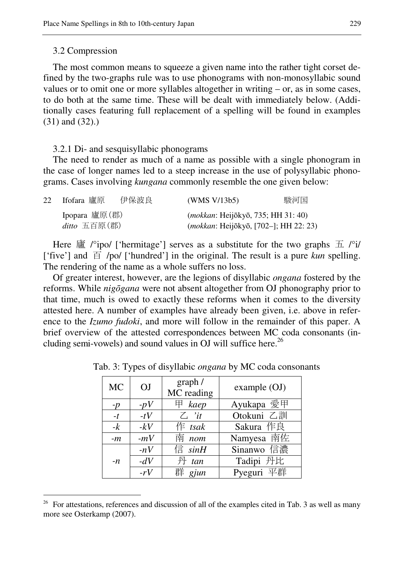#### 3.2 Compression

 $\overline{a}$ 

The most common means to squeeze a given name into the rather tight corset defined by the two-graphs rule was to use phonograms with non-monosyllabic sound values or to omit one or more syllables altogether in writing – or, as in some cases, to do both at the same time. These will be dealt with immediately below. (Additionally cases featuring full replacement of a spelling will be found in examples (31) and (32).)

3.2.1 Di- and sesquisyllabic phonograms

The need to render as much of a name as possible with a single phonogram in the case of longer names led to a steep increase in the use of polysyllabic phonograms. Cases involving *kungana* commonly resemble the one given below:

| 22 Ifofara 廬原  | 伊保波良 | (WMS V/13b5)                                 | 駿河国 |
|----------------|------|----------------------------------------------|-----|
| Ipopara 廬原(郡)  |      | ( <i>mokkan</i> : Heijōkyō, 735; HH 31: 40)  |     |
| $ditto$ 五百原(郡) |      | <i>(mokkan: Heijōkyō, [702-]; HH 22: 23)</i> |     |

Here 廬 /°ipo/ ['hermitage'] serves as a substitute for the two graphs  $\pm$  /°i/ ['five'] and 百 /po/ ['hundred'] in the original. The result is a pure *kun* spelling. The rendering of the name as a whole suffers no loss.

Of greater interest, however, are the legions of disyllabic *ongana* fostered by the reforms. While *nig*ō*gana* were not absent altogether from OJ phonography prior to that time, much is owed to exactly these reforms when it comes to the diversity attested here. A number of examples have already been given, i.e. above in reference to the *Izumo fudoki*, and more will follow in the remainder of this paper. A brief overview of the attested correspondences between MC coda consonants (including semi-vowels) and sound values in OJ will suffice here.<sup>26</sup>

| <b>MC</b> | OJ    | graph /<br>MC reading | example(OJ) |
|-----------|-------|-----------------------|-------------|
| $-p$      | $-pV$ | $\#$ kaep             | Ayukapa 愛甲  |
| $-t$      | $-tV$ | $\mathcal{L}$ 'it     | Otokuni 乙訓  |
| $-k$      | $-kV$ | $f$ tsak              | Sakura 作良   |
| $-m$      | $-mV$ | 南 nom                 | Namyesa 南佐  |
|           | $-nV$ | 信 $sinH$              | Sinanwo 信濃  |
| $-n$      | $-dV$ | $H$ tan               | Tadipi 丹比   |
|           | $-rV$ | 群 gjun                | Pyeguri 平群  |

Tab. 3: Types of disyllabic *ongana* by MC coda consonants

<sup>&</sup>lt;sup>26</sup> For attestations, references and discussion of all of the examples cited in Tab. 3 as well as many more see Osterkamp (2007).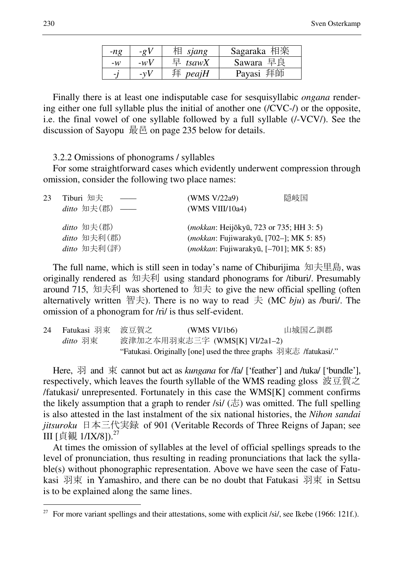| -ng                      | $-\rho V$      | sjang      | Sagaraka 相楽 |
|--------------------------|----------------|------------|-------------|
| $-w$                     | $-wV$          | $\#$ tsawX | Sawara 早良   |
| $\overline{\phantom{a}}$ | $-\mathbf{v}V$ | 拜 $peajH$  | Payasi 拜師   |

Finally there is at least one indisputable case for sesquisyllabic *ongana* rendering either one full syllable plus the initial of another one (/CVC-/) or the opposite, i.e. the final vowel of one syllable followed by a full syllable (/-VCV/). See the discussion of Sayopu 最邑 on page 235 below for details.

3.2.2 Omissions of phonograms / syllables

For some straightforward cases which evidently underwent compression through omission, consider the following two place names:

| 23 | Tiburi 知夫<br>$ditto \; 2\frac{1}{2}$ (郡) ——        | 隠岐国<br>(WMS V/22a9)<br>(WMS VIII/10a4)                                                                                                                 |
|----|----------------------------------------------------|--------------------------------------------------------------------------------------------------------------------------------------------------------|
|    | $ditto \; \pm(\#)$<br>ditto 知夫利(郡)<br>ditto 知夫利(評) | ( <i>mokkan</i> : Heijōkyū, 723 or 735; HH 3: 5)<br>( <i>mokkan</i> : Fujiwarakyū, [702-]; MK 5: 85)<br><i>(mokkan: Fujiwarakyū, [-701]; MK 5: 85)</i> |

The full name, which is still seen in today's name of Chiburijima 知夫里島, was originally rendered as 知夫利 using standard phonograms for /tiburi/. Presumably around 715, 知夫利 was shortened to 知夫 to give the new official spelling (often alternatively written 智夫). There is no way to read 夫 (MC  $bju$ ) as /buri/. The omission of a phonogram for /ri/ is thus self-evident.

| 24  Fatukasi 羽束  波豆賀之 | (WMS V1/b6)                                                        | 山城国乙訓郡 |
|-----------------------|--------------------------------------------------------------------|--------|
| ditto 羽束              | 波津加之本用羽束志三字 (WMS[K] VI/2a1-2)                                      |        |
|                       | "Fatukasi. Originally [one] used the three graphs 羽束志 /fatukasi/." |        |

Here, <sub>引</sub> and 束 cannot but act as *kungana* for /fa/ ['feather'] and /tuka/ ['bundle'], respectively, which leaves the fourth syllable of the WMS reading gloss 波豆賀之 /fatukasi/ unrepresented. Fortunately in this case the WMS[K] comment confirms the likely assumption that a graph to render /si/  $(\pm)$  was omitted. The full spelling is also attested in the last instalment of the six national histories, the *Nihon sandai jitsuroku* 日本三代実録 of 901 (Veritable Records of Three Reigns of Japan; see III [貞観 1/IX/8]).<sup>27</sup>

At times the omission of syllables at the level of official spellings spreads to the level of pronunciation, thus resulting in reading pronunciations that lack the syllable(s) without phonographic representation. Above we have seen the case of Fatukasi 羽束 in Yamashiro, and there can be no doubt that Fatukasi 羽束 in Settsu is to be explained along the same lines.

<sup>&</sup>lt;sup>27</sup> For more variant spellings and their attestations, some with explicit /si/, see Ikebe (1966: 121f.).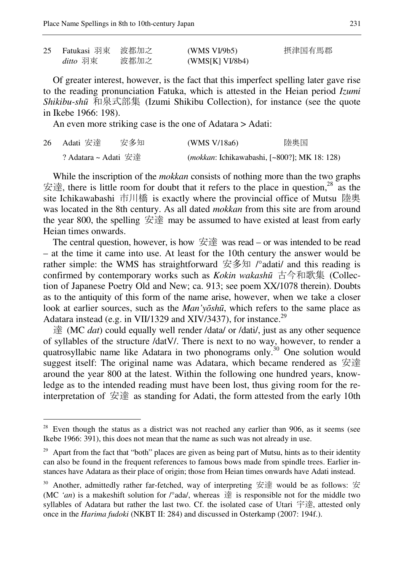$\overline{a}$ 

| 25 | - Fatukasi 羽束 - 波都加之 |      | (WMS VI/9b5)    | 摂津国有馬郡 |
|----|----------------------|------|-----------------|--------|
|    | ditto 羽束             | 波都加之 | (WMS[K] VI/8b4) |        |

Of greater interest, however, is the fact that this imperfect spelling later gave rise to the reading pronunciation Fatuka, which is attested in the Heian period *Izumi Shikibu-sh*ū 和泉式部集 (Izumi Shikibu Collection), for instance (see the quote in Ikebe 1966: 198).

An even more striking case is the one of Adatara > Adati:

| 26  Adati 安達         | 安多知 | (WMS V/18a6) | 陸奥国                                                 |
|----------------------|-----|--------------|-----------------------------------------------------|
| ? Adatara ~ Adati 安達 |     |              | <i>(mokkan: Ichikawabashi, [~800?]; MK 18: 128)</i> |

While the inscription of the *mokkan* consists of nothing more than the two graphs 安達, there is little room for doubt that it refers to the place in question,<sup>28</sup> as the site Ichikawabashi 市川橋 is exactly where the provincial office of Mutsu 陸奥 was located in the 8th century. As all dated *mokkan* from this site are from around the year 800, the spelling 安達 may be assumed to have existed at least from early Heian times onwards.

The central question, however, is how  $\dot{\mathcal{L}} \dot{\mathcal{L}}$  was read – or was intended to be read – at the time it came into use. At least for the 10th century the answer would be rather simple: the WMS has straightforward 安多知  $\sqrt{2}$  adati/ and this reading is confirmed by contemporary works such as *Kokin wakash*ū 古今和歌集 (Collection of Japanese Poetry Old and New; ca. 913; see poem XX/1078 therein). Doubts as to the antiquity of this form of the name arise, however, when we take a closer look at earlier sources, such as the *Man'y*ō*sh*ū, which refers to the same place as Adatara instead (e.g. in VII/1329 and XIV/3437), for instance.<sup>29</sup>

達 (MC *dat*) could equally well render /data/ or /dati/, just as any other sequence of syllables of the structure /datV/. There is next to no way, however, to render a quatrosyllabic name like Adatara in two phonograms only.<sup>30</sup> One solution would suggest itself: The original name was Adatara, which became rendered as 安達 around the year 800 at the latest. Within the following one hundred years, knowledge as to the intended reading must have been lost, thus giving room for the reinterpretation of 安達 as standing for Adati, the form attested from the early 10th

 $28$  Even though the status as a district was not reached any earlier than 906, as it seems (see Ikebe 1966: 391), this does not mean that the name as such was not already in use.

<sup>&</sup>lt;sup>29</sup> Apart from the fact that "both" places are given as being part of Mutsu, hints as to their identity can also be found in the frequent references to famous bows made from spindle trees. Earlier instances have Adatara as their place of origin; those from Heian times onwards have Adati instead.

 $30$  Another, admittedly rather far-fetched, way of interpreting 安達 would be as follows: 安 (MC *'an*) is a makeshift solution for  $\beta$  ada/, whereas  $\ddot{\Xi}$  is responsible not for the middle two syllables of Adatara but rather the last two. Cf. the isolated case of Utari 宇達, attested only once in the *Harima fudoki* (NKBT II: 284) and discussed in Osterkamp (2007: 194f.).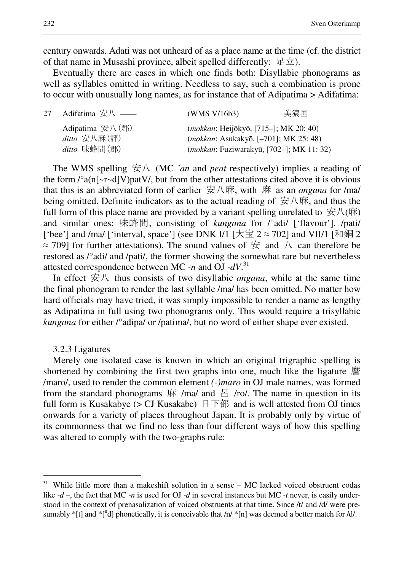century onwards. Adati was not unheard of as a place name at the time (cf. the district of that name in Musashi province, albeit spelled differently: 足立).

Eventually there are cases in which one finds both: Disyllabic phonograms as well as syllables omitted in writing. Needless to say, such a combination is prone to occur with unusually long names, as for instance that of Adipatima > Adifatima:

| 27 | Adifatima 安八 ——                                           | (WMS V/16b3)                                      | 美濃国 |
|----|-----------------------------------------------------------|---------------------------------------------------|-----|
|    | Adipatima $\overline{\mathcal{L}}\mathcal{K}(\mathbb{H})$ | <i>(mokkan: Heijōkyō, [715–]; MK 20: 40)</i>      |     |
|    | ditto 安八麻(評)                                              | ( <i>mokkan</i> : Asukakyō, [-701]; MK 25: 48)    |     |
|    | ditto 味蜂間(郡)                                              | ( <i>mokkan</i> : Fuziwarakyū, [702–]; MK 11: 32) |     |

The WMS spelling 安八 (MC *'an* and *peat* respectively) implies a reading of the form  $\frac{\alpha_{n} - \alpha}{V}$  (n[~r~d]V)patV, but from the other attestations cited above it is obvious that this is an abbreviated form of earlier 安八麻, with 麻 as an *ongana* for /ma/ being omitted. Definite indicators as to the actual reading of  $\overleftrightarrow{\mathcal{L}}\mathcal{R}\overrightarrow{\mathcal{R}}$ , and thus the full form of this place name are provided by a variant spelling unrelated to  $\overline{\mathcal{B}}\mathcal{K}(\overline{\mathfrak{m}})$ and similar ones: 味蜂間, consisting of *kungana* for /°adi/ ['flavour'], /pati/ ['bee'] and /ma/ ['interval, space'] (see DNK I/1 [大宝  $2 \approx 702$ ] and VII/1 [和銅 2  $\approx$  709] for further attestations). The sound values of  $\#$  and  $\#$  can therefore be restored as /°adi/ and /pati/, the former showing the somewhat rare but nevertheless attested correspondence between MC *-n* and OJ *-dV*. 31

In effect 安八 thus consists of two disyllabic *ongana*, while at the same time the final phonogram to render the last syllable /ma/ has been omitted. No matter how hard officials may have tried, it was simply impossible to render a name as lengthy as Adipatima in full using two phonograms only. This would require a trisyllabic *kungana* for either /°adipa/ or /patima/, but no word of either shape ever existed.

#### 3.2.3 Ligatures

 $\overline{a}$ 

Merely one isolated case is known in which an original trigraphic spelling is shortened by combining the first two graphs into one, much like the ligature 麿 /maro/, used to render the common element *(-)maro* in OJ male names, was formed from the standard phonograms  $\dot{R}$  /ma/ and  $\dot{E}$  /ro/. The name in question in its full form is Kusakabye ( $>$  CJ Kusakabe)  $\exists$   $\exists$   $\exists$  and is well attested from OJ times onwards for a variety of places throughout Japan. It is probably only by virtue of its commonness that we find no less than four different ways of how this spelling was altered to comply with the two-graphs rule:

 $31$  While little more than a makeshift solution in a sense – MC lacked voiced obstruent codas like *-d* –, the fact that MC *-n* is used for OJ *-d* in several instances but MC *-t* never, is easily understood in the context of prenasalization of voiced obstruents at that time. Since /t/ and /d/ were presumably \*[t] and  $*$ [<sup>n</sup>d] phonetically, it is conceivable that /n/  $*$ [n] was deemed a better match for /d/.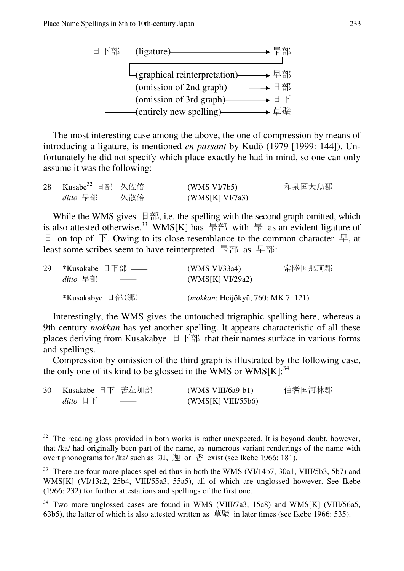

The most interesting case among the above, the one of compression by means of introducing a ligature, is mentioned *en passant* by Kudō (1979 [1999: 144]). Unfortunately he did not specify which place exactly he had in mind, so one can only assume it was the following:

| 28 Kusabe <sup>32</sup> 日部 久佐倍 |     | (WMS VI/7b5)    | 和泉国大鳥郡 |
|--------------------------------|-----|-----------------|--------|
| ditto 旱部                       | 久散倍 | (WMS[K] VI/7a3) |        |

While the WMS gives 日部, i.e. the spelling with the second graph omitted, which is also attested otherwise,<sup>33</sup> WMS[K] has  $\frac{1}{2}$  as with  $\frac{1}{2}$  as an evident ligature of 日 on top of 下. Owing to its close resemblance to the common character 早, at least some scribes seem to have reinterpreted 旱部 as 早部:

| 29 | *Kusakabe 日下部 ——                            | (WMS VI/33a4)                               | 常陸国那珂郡 |
|----|---------------------------------------------|---------------------------------------------|--------|
|    | ditto 早部<br>$\overbrace{\qquad \qquad }^{}$ | (WMS[K] VI/29a2)                            |        |
|    | *Kusakabye 日部(郷)                            | ( <i>mokkan</i> : Heijōkyū, 760; MK 7: 121) |        |

Interestingly, the WMS gives the untouched trigraphic spelling here, whereas a 9th century *mokkan* has yet another spelling. It appears characteristic of all these places deriving from Kusakabye 日下部 that their names surface in various forms and spellings.

Compression by omission of the third graph is illustrated by the following case, the only one of its kind to be glossed in the WMS or  $WMS[K]$ :<sup>34</sup>

| 30 Kusakabe 日下 苦左加部             |                          | $(WMS VIII/6a9-b1)$ | 伯耆国河林郡 |
|---------------------------------|--------------------------|---------------------|--------|
| ditto $\mathbb{H}$ $\mathbb{F}$ | $\overline{\phantom{a}}$ | (WMS[K] VIII/55b6)  |        |

 $32$  The reading gloss provided in both works is rather unexpected. It is beyond doubt, however, that /ka/ had originally been part of the name, as numerous variant renderings of the name with overt phonograms for /ka/ such as 加, 迦 or 香 exist (see Ikebe 1966: 181).

<sup>&</sup>lt;sup>33</sup> There are four more places spelled thus in both the WMS (VI/14b7, 30a1, VIII/5b3, 5b7) and WMS[K] (VI/13a2, 25b4, VIII/55a3, 55a5), all of which are unglossed however. See Ikebe (1966: 232) for further attestations and spellings of the first one.

<sup>&</sup>lt;sup>34</sup> Two more unglossed cases are found in WMS (VIII/7a3, 15a8) and WMS[K] (VIII/56a5, 63b5), the latter of which is also attested written as 草壁 in later times (see Ikebe 1966: 535).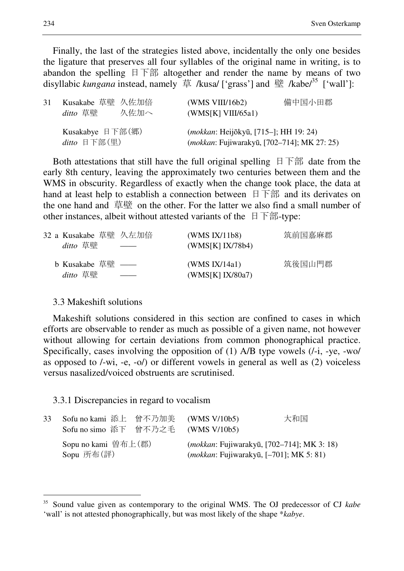Finally, the last of the strategies listed above, incidentally the only one besides the ligature that preserves all four syllables of the original name in writing, is to abandon the spelling 日下部 altogether and render the name by means of two disyllabic *kungana* instead, namely 草 /kusa/ ['grass'] and 壁 /kabe<sup>35</sup> ['wall']:

| 31 | Kusakabe 草壁 久佐加倍<br>ditto 草壁 人佐加へ         | 備中国小田郡<br>(WMS VIII/16b2)<br>(WMS[K] VIII/65a1)                                             |
|----|-------------------------------------------|---------------------------------------------------------------------------------------------|
|    | Kusakabye 日下部 $(\nexists$<br>ditto 日下部(里) | <i>(mokkan: Heijōkyū, [715–]; HH 19: 24)</i><br>(mokkan: Fujiwarakyū, [702-714]; MK 27: 25) |

Both attestations that still have the full original spelling 日下部 date from the early 8th century, leaving the approximately two centuries between them and the WMS in obscurity. Regardless of exactly when the change took place, the data at hand at least help to establish a connection between  $\exists$  下部 and its derivates on the one hand and 草壁 on the other. For the latter we also find a small number of other instances, albeit without attested variants of the 日下部-type:

| 32 a Kusakabe 草壁 久左加倍<br>ditto 草壁 | (WMS IX/11b8)<br>(WMS[K] IX/78b4)    | 筑前国嘉麻郡 |
|-----------------------------------|--------------------------------------|--------|
| b Kusakabe 草壁 ——<br>ditto 草壁      | (WMS $IX/14a1$ )<br>(WMS[K] IX/80a7) | 筑後国山門郡 |

### 3.3 Makeshift solutions

 $\overline{a}$ 

Makeshift solutions considered in this section are confined to cases in which efforts are observable to render as much as possible of a given name, not however without allowing for certain deviations from common phonographical practice. Specifically, cases involving the opposition of (1) A/B type vowels (/-i, -ye, -wo/ as opposed to /-wi, -e, -o/) or different vowels in general as well as (2) voiceless versus nasalized/voiced obstruents are scrutinised.

#### 3.3.1 Discrepancies in regard to vocalism

| 33 | Sofu no kami 添上 曾不乃加美 (WMS V/10b5)<br>Sofu no simo 添下 曾不乃之毛 (WMS V/10b5) | 大和国                                                                                                   |
|----|--------------------------------------------------------------------------|-------------------------------------------------------------------------------------------------------|
|    | Sopu no kami 曽布上(郡)<br>Sopu 所布(評)                                        | <i>(mokkan: Fujiwarakyū, [702–714]; MK 3: 18)</i><br>( <i>mokkan</i> : Fujiwarakyū, [-701]; MK 5: 81) |

<sup>35</sup> Sound value given as contemporary to the original WMS. The OJ predecessor of CJ *kabe* 'wall' is not attested phonographically, but was most likely of the shape \**kabye*.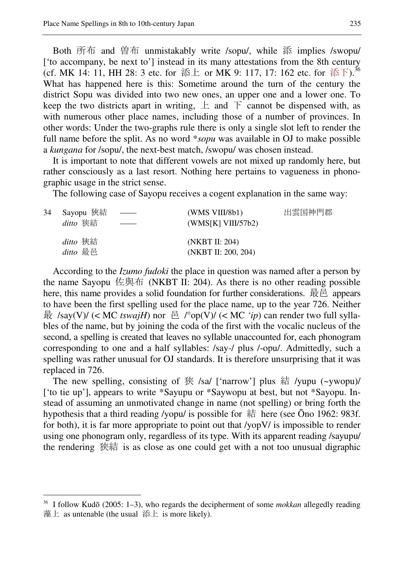Both 所布 and 曽布 unmistakably write /sopu/, while 添 implies /swopu/ ['to accompany, be next to'] instead in its many attestations from the 8th century (cf. MK 14: 11, HH 28: 3 etc. for 添上 or MK 9: 117, 17: 162 etc. for 添下).<sup>36</sup> What has happened here is this: Sometime around the turn of the century the district Sopu was divided into two new ones, an upper one and a lower one. To keep the two districts apart in writing,  $\pm$  and  $\pm$  cannot be dispensed with, as with numerous other place names, including those of a number of provinces. In other words: Under the two-graphs rule there is only a single slot left to render the full name before the split. As no word \**sopu* was available in OJ to make possible a *kungana* for /sopu/, the next-best match, /swopu/ was chosen instead.

It is important to note that different vowels are not mixed up randomly here, but rather consciously as a last resort. Nothing here pertains to vagueness in phonographic usage in the strict sense.

The following case of Sayopu receives a cogent explanation in the same way:

| 34 | Sayopu 狹結<br>ditto 狭結       | $\overline{\phantom{a}}$ | (WMS VIII/8b1)<br>(WMS[K] VIII/57b2)  | 出雲国神門郡 |
|----|-----------------------------|--------------------------|---------------------------------------|--------|
|    | <i>ditto</i> 狹結<br>ditto 最邑 |                          | (NKBT II: 204)<br>(NKBT II: 200, 204) |        |

According to the *Izumo fudoki* the place in question was named after a person by the name Sayopu 佐與布 (NKBT II: 204). As there is no other reading possible here, this name provides a solid foundation for further considerations. 最邑 appears to have been the first spelling used for the place name, up to the year 726. Neither 最 /say(V)/ (< MC *tswajH*) nor 邑 /°op(V)/ (< MC *'ip*) can render two full syllables of the name, but by joining the coda of the first with the vocalic nucleus of the second, a spelling is created that leaves no syllable unaccounted for, each phonogram corresponding to one and a half syllables: /say-/ plus /-opu/. Admittedly, such a spelling was rather unusual for OJ standards. It is therefore unsurprising that it was replaced in 726.

The new spelling, consisting of 狭 /sa/ ['narrow'] plus 結 /yupu (~ywopu)/ ['to tie up'], appears to write \*Sayupu or \*Saywopu at best, but not \*Sayopu. Instead of assuming an unmotivated change in name (not spelling) or bring forth the hypothesis that a third reading /yopu/ is possible for 結 here (see Ōno 1962: 983f. for both), it is far more appropriate to point out that /yopV/ is impossible to render using one phonogram only, regardless of its type. With its apparent reading /sayupu/ the rendering 狭結 is as close as one could get with a not too unusual digraphic

<sup>36</sup> I follow Kudō (2005: 1–3), who regards the decipherment of some *mokkan* allegedly reading 藻上 as untenable (the usual 添上 is more likely).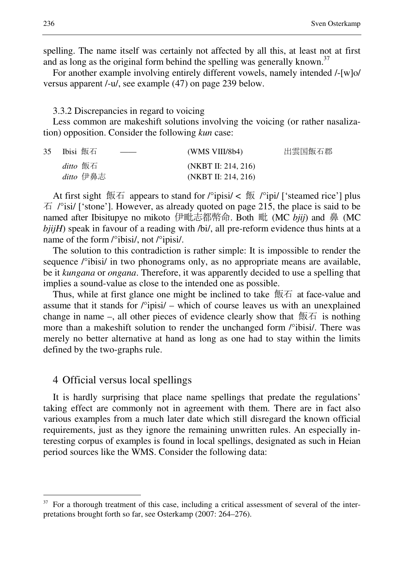spelling. The name itself was certainly not affected by all this, at least not at first and as long as the original form behind the spelling was generally known.<sup>37</sup>

For another example involving entirely different vowels, namely intended /-[w]o/ versus apparent /-u/, see example (47) on page 239 below.

#### 3.3.2 Discrepancies in regard to voicing

Less common are makeshift solutions involving the voicing (or rather nasalization) opposition. Consider the following *kun* case:

| 35 Ibisi 飯石<br>$\overbrace{\hspace{25mm}}^{}$ | (WMS VIII/8b4)      | 出雲国飯石郡 |
|-----------------------------------------------|---------------------|--------|
| ditto 飯石                                      | (NKBT II: 214, 216) |        |
| ditto 伊鼻志                                     | (NKBT II: 214, 216) |        |

At first sight  $\frac{1}{2}$  appears to stand for  $\frac{1}{2}$  ipisi/  $\leq \frac{1}{2}$   $\frac{1}{2}$   $\frac{1}{2}$  isteamed rice'] plus  $\overline{A}$  /°isi/ ['stone']. However, as already quoted on page 215, the place is said to be named after Ibisitupye no mikoto 伊毗志都幣命. Both 毗 (MC *bjij*) and 鼻 (MC *bjijH*) speak in favour of a reading with /bi/, all pre-reform evidence thus hints at a name of the form /°ibisi/, not /°ipisi/.

The solution to this contradiction is rather simple: It is impossible to render the sequence /°ibisi/ in two phonograms only, as no appropriate means are available, be it *kungana* or *ongana*. Therefore, it was apparently decided to use a spelling that implies a sound-value as close to the intended one as possible.

Thus, while at first glance one might be inclined to take 飯石 at face-value and assume that it stands for /°ipisi/ – which of course leaves us with an unexplained change in name –, all other pieces of evidence clearly show that  $\frac{1}{2}$  is nothing more than a makeshift solution to render the unchanged form /°ibisi/. There was merely no better alternative at hand as long as one had to stay within the limits defined by the two-graphs rule.

### 4 Official versus local spellings

It is hardly surprising that place name spellings that predate the regulations' taking effect are commonly not in agreement with them. There are in fact also various examples from a much later date which still disregard the known official requirements, just as they ignore the remaining unwritten rules. An especially interesting corpus of examples is found in local spellings, designated as such in Heian period sources like the WMS. Consider the following data:

<sup>&</sup>lt;sup>37</sup> For a thorough treatment of this case, including a critical assessment of several of the interpretations brought forth so far, see Osterkamp (2007: 264–276).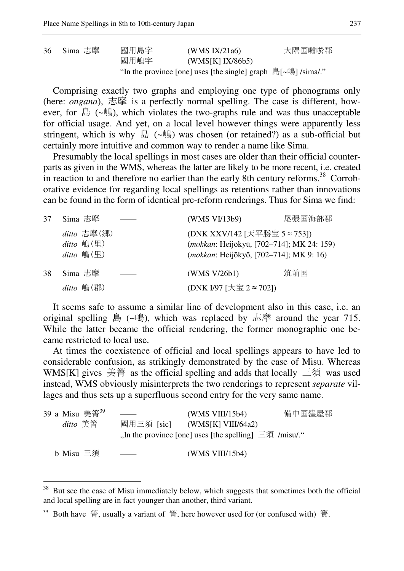36 Sima 志摩 國用島字 (WMS IX/21a6) 大隅国囎唹郡 國用嶋字 (WMS[K] IX/86b5) "In the province [one] uses [the single] graph 島[~嶋] /sima/."

Comprising exactly two graphs and employing one type of phonograms only (here: *ongana*), 志摩 is a perfectly normal spelling. The case is different, however, for 島 (~嶋), which violates the two-graphs rule and was thus unacceptable for official usage. And yet, on a local level however things were apparently less stringent, which is why 島 (~嶋) was chosen (or retained?) as a sub-official but certainly more intuitive and common way to render a name like Sima.

Presumably the local spellings in most cases are older than their official counterparts as given in the WMS, whereas the latter are likely to be more recent, i.e. created in reaction to and therefore no earlier than the early 8th century reforms.<sup>38</sup> Corroborative evidence for regarding local spellings as retentions rather than innovations can be found in the form of identical pre-reform renderings. Thus for Sima we find:

| 37 | Sima 志摩                                           | (WMS VI/13b9)                                                                                                                 | 尾張国海部郡 |
|----|---------------------------------------------------|-------------------------------------------------------------------------------------------------------------------------------|--------|
|    | $ditto E$ 摩 $(\n$<br>$ditto$ 鳴(里)<br>$ditto$ 嶋(里) | (DNK XXV/142 [天平勝宝 5 ≈ 753])<br>(mokkan: Heijōkyū, [702-714]; MK 24: 159)<br>( <i>mokkan</i> : Heijōkyō, [702–714]; MK 9: 16) |        |
| 38 | Sima 志摩                                           | (WMS V/26b1)                                                                                                                  | 筑前国    |
|    | $ditto$ 嶋(郡)                                      | (DNK I/97 [大宝 2 ≈ 702])                                                                                                       |        |

It seems safe to assume a similar line of development also in this case, i.e. an original spelling 島  $(\sim \frac{16}{15})$ , which was replaced by 志摩 around the year 715. While the latter became the official rendering, the former monographic one became restricted to local use.

At times the coexistence of official and local spellings appears to have led to considerable confusion, as strikingly demonstrated by the case of Misu. Whereas WMS[K] gives 美箐 as the official spelling and adds that locally 三須 was used instead, WMS obviously misinterprets the two renderings to represent *separate* villages and thus sets up a superfluous second entry for the very same name.

| 39 a Misu 美箐 <sup>39</sup> |               | (WMS VIII/15b4)                                                 | 備中国窪屋郡 |
|----------------------------|---------------|-----------------------------------------------------------------|--------|
| ditto 美箐                   | 國用三須 [sic]    | (WMS[K] VIII/64a2)                                              |        |
|                            |               | , In the province [one] uses [the spelling] $\equiv$ 4 /misu/." |        |
| b Misu 三須                  | $\sim$ $\sim$ | (WMS VIII/15b4)                                                 |        |

 $38\,$ But see the case of Misu immediately below, which suggests that sometimes both the official and local spelling are in fact younger than another, third variant.

<sup>&</sup>lt;sup>39</sup> Both have  $\ddot{\mathbf{a}}$ , usually a variant of  $\ddot{\mathbf{a}}$ , here however used for (or confused with)  $\ddot{\mathbf{a}}$ .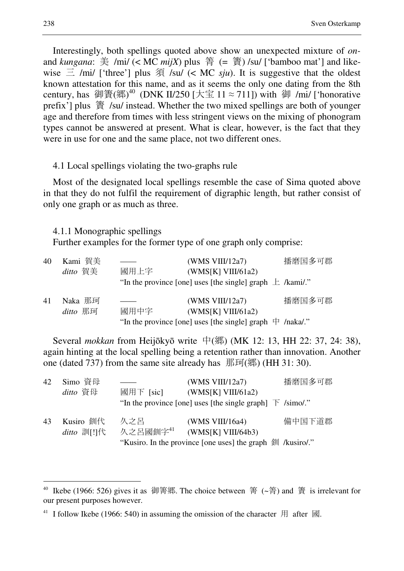Interestingly, both spellings quoted above show an unexpected mixture of *on*and *kungana*: 美 /mi/ (< MC *mijX*) plus 箐 (= 簀) /su/ ['bamboo mat'] and likewise  $\equiv$  /mi/ ['three'] plus  $\hat{\mathcal{F}}$  /su/ (< MC *sju*). It is suggestive that the oldest known attestation for this name, and as it seems the only one dating from the 8th century, has 御簀(郷)<sup>40</sup> (DNK II/250 [大宝 11 ≈ 711]) with 御 /mi/ ['honorative prefix'] plus 簀 /su/ instead. Whether the two mixed spellings are both of younger age and therefore from times with less stringent views on the mixing of phonogram types cannot be answered at present. What is clear, however, is the fact that they were in use for one and the same place, not two different ones.

#### 4.1 Local spellings violating the two-graphs rule

Most of the designated local spellings resemble the case of Sima quoted above in that they do not fulfil the requirement of digraphic length, but rather consist of only one graph or as much as three.

#### 4.1.1 Monographic spellings

Further examples for the former type of one graph only comprise:

| 40 | Kami 賀美  |      | (WMS VIII/12a7)                                               | 播磨国多可郡 |
|----|----------|------|---------------------------------------------------------------|--------|
|    | ditto 賀美 | 國用上字 | (WMS[K] VIII/61a2)                                            |        |
|    |          |      | "In the province [one] uses [the single] graph $\pm$ /kami/." |        |
| 41 | Naka 那珂  |      | (WMS VIII/12a7)                                               | 播磨国多可郡 |
|    | ditto 那珂 | 國用中字 | (WMS[K] VIII/61a2)                                            |        |
|    |          |      | "In the province [one] uses [the single] graph $\#$ /naka/."  |        |

Several *mokkan* from Heijōkyō write 中(郷) (MK 12: 13, HH 22: 37, 24: 38), again hinting at the local spelling being a retention rather than innovation. Another one (dated 737) from the same site already has  $\mathbb{H}$ 可(郷) (HH 31: 30).

| 42 | Simo 資母                    |                       | (WMS VIII/12a7)                                                        | 播磨国多可郡 |
|----|----------------------------|-----------------------|------------------------------------------------------------------------|--------|
|    | ditto 資母                   | 國用下 [sic]             | (WMS[K] VIII/61a2)                                                     |        |
|    |                            |                       | "In the province [one] uses [the single graph] $\bar{F}$ /simo/."      |        |
| 43 | Kusiro 釧代<br>$ditto$ 訓[!]代 | 久之呂<br>久之呂國釧字 $^{41}$ | (WMS VIII/16a4)<br>(WMS[K] VIII/64b3)                                  | 備中国下道郡 |
|    |                            |                       | "Kusiro. In the province [one uses] the graph $\frac{4}{3}$ /kusiro/." |        |

<sup>&</sup>lt;sup>40</sup> Ikebe (1966: 526) gives it as 御箐郷. The choice between 箐 (~箐) and 簀 is irrelevant for our present purposes however.

<sup>&</sup>lt;sup>41</sup> I follow Ikebe (1966: 540) in assuming the omission of the character  $\#$  after  $\mathbb{\overline{B}}$ .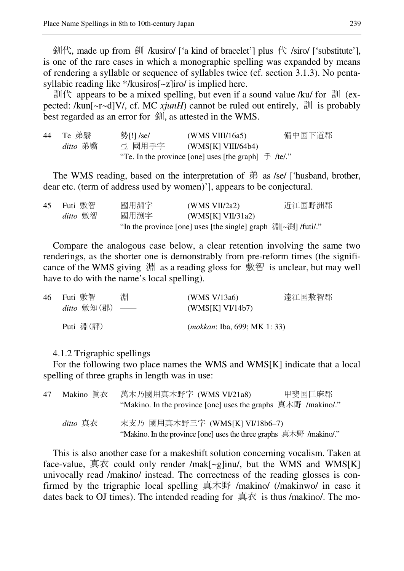釧代, made up from 釧 /kusiro/ ['a kind of bracelet'] plus 代 /siro/ ['substitute'], is one of the rare cases in which a monographic spelling was expanded by means of rendering a syllable or sequence of syllables twice (cf. section 3.1.3). No pentasyllabic reading like \*/kusiros[~z]iro/ is implied here.

訓代 appears to be a mixed spelling, but even if a sound value /ku/ for 訓 (expected: /kun[~r~d]V/, cf. MC *xjunH*) cannot be ruled out entirely, 訓 is probably best regarded as an error for 釧, as attested in the WMS.

44 Te 弟翳 勢[!] /se/ (WMS VIII/16a5) 備中国下道郡 *ditto* 弟翳 弖 國用手字 (WMS[K] VIII/64b4) "Te. In the province [one] uses [the graph]  $\equiv$  /te/."

The WMS reading, based on the interpretation of  $#$  as /se/ ['husband, brother, dear etc. (term of address used by women)'], appears to be conjectural.

| 45 | Futi 敷智  | 國用淵字                                                           | (WMS $VII/2a2$ )  | 近江国野洲郡 |
|----|----------|----------------------------------------------------------------|-------------------|--------|
|    | ditto 敷智 | 國用渕字                                                           | (WMS[K] VII/31a2) |        |
|    |          | "In the province [one] uses [the single] graph 淵[~渕] / futi/." |                   |        |

Compare the analogous case below, a clear retention involving the same two renderings, as the shorter one is demonstrably from pre-reform times (the significance of the WMS giving  $\dddot{\mathcal{H}}$  as a reading gloss for  $\dot{\mathcal{H}}$  as is unclear, but may well have to do with the name's local spelling).

| 46 Futi 敷智                  | 淵 | (WMS V/13a6)                        | 遠江国敷智郡 |
|-----------------------------|---|-------------------------------------|--------|
| $ditto$ 敷知 $($ 郡 $)$ $\_\_$ |   | (WMS[K] VI/14b7)                    |        |
| Puti 淵(評)                   |   | <i>(mokkan: Iba, 699; MK 1: 33)</i> |        |

### 4.1.2 Trigraphic spellings

For the following two place names the WMS and WMS[K] indicate that a local spelling of three graphs in length was in use:

| 47 | Makino 眞衣 | 萬木乃國用真木野字 (WMS VI/21a8)<br>甲斐国巨麻郡                                                                     |  |
|----|-----------|-------------------------------------------------------------------------------------------------------|--|
|    |           | "Makino. In the province [one] uses the graphs 真木野 /makino/."                                         |  |
|    | ditto 真衣  | 末支乃 國用真木野三字 (WMS[K] VI/18b6-7)<br>"Makino. In the province [one] uses the three graphs 真木野 /makino/." |  |

This is also another case for a makeshift solution concerning vocalism. Taken at face-value,  $\overline{B} \overline{K}$  could only render /mak[~g]inu/, but the WMS and WMS[K] univocally read /makino/ instead. The correctness of the reading glosses is confirmed by the trigraphic local spelling  $\equiv$   $\pm \frac{1}{N}$  /makino/ (/makinwo/ in case it dates back to OJ times). The intended reading for  $\overline{\text{A}}\overline{\text{A}}\overline{\text{B}}$  is thus /makino/. The mo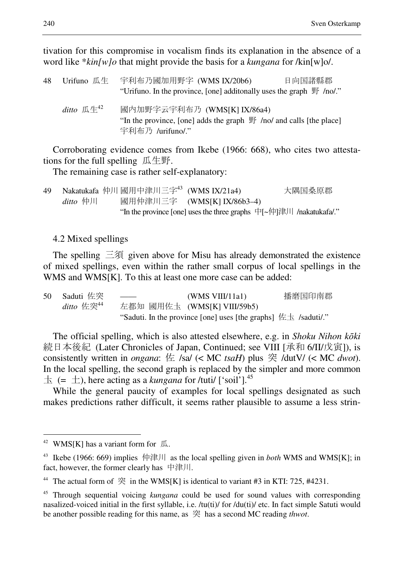tivation for this compromise in vocalism finds its explanation in the absence of a word like \**kin[w]o* that might provide the basis for a *kungana* for /kin[w]o/.

| 48 | Urifuno 瓜生                         | 宇利布乃國加用野字 (WMS IX/20b6)                                                                                                           | 日向国諸縣郡 |
|----|------------------------------------|-----------------------------------------------------------------------------------------------------------------------------------|--------|
|    |                                    | "Urifuno. In the province, [one] additonally uses the graph $\mathbb{F}$ /no/."                                                   |        |
|    | ditto $\mathbb{R}^4$ <sup>42</sup> | 國内加野字云宇利布乃 (WMS[K] IX/86a4)<br>"In the province, [one] adds the graph $\mathbb{F}$ /no/ and calls [the place]<br>宇利布乃 /urifuno/." |        |

Corroborating evidence comes from Ikebe (1966: 668), who cites two attestations for the full spelling 瓜生野.

The remaining case is rather self-explanatory:

49 Nakatukafa 仲川 國用中津川三字<sup>43</sup> (WMS IX/21a4) 大隅国桑原郡 *ditto* 仲川 國用仲津川三字 (WMS[K] IX/86b3–4) "In the province [one] uses the three graphs 中[~仲]津川 /nakatukafa/."

### 4.2 Mixed spellings

The spelling  $\equiv$ 須 given above for Misu has already demonstrated the existence of mixed spellings, even within the rather small corpus of local spellings in the WMS and WMS[K]. To this at least one more case can be added:

| 50 Saduti 佐突  | $\frac{1}{1}$ | (WMS VIII/11a1)                                                      | 播磨国印南郡 |
|---------------|---------------|----------------------------------------------------------------------|--------|
| ditto 佐突 $44$ |               | 左都知 國用佐圡 (WMS[K] VIII/59b5)                                          |        |
|               |               | "Saduti. In the province [one] uses [the graphs] $\# \pm$ /saduti/." |        |

The official spelling, which is also attested elsewhere, e.g. in *Shoku Nihon k*ō*ki* 続日本後紀 (Later Chronicles of Japan, Continued; see VIII [承和 6/II/戊寅]), is consistently written in *ongana*: 佐 /sa/ (< MC *tsaH*) plus 突 /dutV/ (< MC *dwot*). In the local spelling, the second graph is replaced by the simpler and more common  $\pm$  (=  $\pm$ ), here acting as a *kungana* for /tuti/ ['soil'].<sup>45</sup>

While the general paucity of examples for local spellings designated as such makes predictions rather difficult, it seems rather plausible to assume a less strin-

<sup>&</sup>lt;sup>42</sup> WMS[K] has a variant form for  $\mathbb{R}$ .

<sup>43</sup> Ikebe (1966: 669) implies 仲津川 as the local spelling given in *both* WMS and WMS[K]; in fact, however, the former clearly has 中津川.

<sup>&</sup>lt;sup>44</sup> The actual form of  $\mathcal{R}$  in the WMS[K] is identical to variant #3 in KTI: 725, #4231.

<sup>45</sup> Through sequential voicing *kungana* could be used for sound values with corresponding nasalized-voiced initial in the first syllable, i.e. /tu(ti)/ for /du(ti)/ etc. In fact simple Satuti would be another possible reading for this name, as 突 has a second MC reading *thwot*.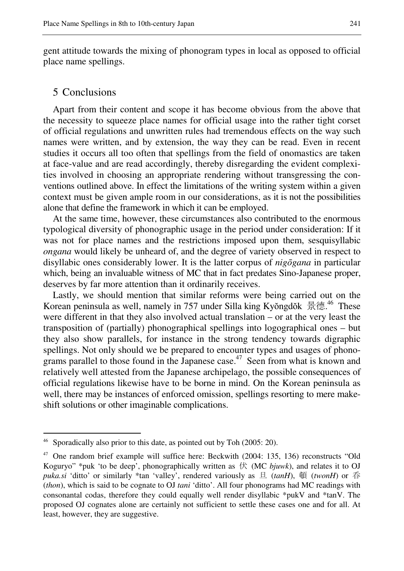gent attitude towards the mixing of phonogram types in local as opposed to official place name spellings.

### 5 Conclusions

 $\overline{a}$ 

Apart from their content and scope it has become obvious from the above that the necessity to squeeze place names for official usage into the rather tight corset of official regulations and unwritten rules had tremendous effects on the way such names were written, and by extension, the way they can be read. Even in recent studies it occurs all too often that spellings from the field of onomastics are taken at face-value and are read accordingly, thereby disregarding the evident complexities involved in choosing an appropriate rendering without transgressing the conventions outlined above. In effect the limitations of the writing system within a given context must be given ample room in our considerations, as it is not the possibilities alone that define the framework in which it can be employed.

At the same time, however, these circumstances also contributed to the enormous typological diversity of phonographic usage in the period under consideration: If it was not for place names and the restrictions imposed upon them, sesquisyllabic *ongana* would likely be unheard of, and the degree of variety observed in respect to disyllabic ones considerably lower. It is the latter corpus of *nig*ō*gana* in particular which, being an invaluable witness of MC that in fact predates Sino-Japanese proper, deserves by far more attention than it ordinarily receives.

Lastly, we should mention that similar reforms were being carried out on the Korean peninsula as well, namely in 757 under Silla king Kyŏngdŏk 景德.<sup>46</sup> These were different in that they also involved actual translation – or at the very least the transposition of (partially) phonographical spellings into logographical ones – but they also show parallels, for instance in the strong tendency towards digraphic spellings. Not only should we be prepared to encounter types and usages of phonograms parallel to those found in the Japanese case.<sup>47</sup> Seen from what is known and relatively well attested from the Japanese archipelago, the possible consequences of official regulations likewise have to be borne in mind. On the Korean peninsula as well, there may be instances of enforced omission, spellings resorting to mere makeshift solutions or other imaginable complications.

Sporadically also prior to this date, as pointed out by Toh (2005: 20).

<sup>&</sup>lt;sup>47</sup> One random brief example will suffice here: Beckwith (2004: 135, 136) reconstructs "Old Koguryo" \*puk 'to be deep', phonographically written as  $#$  (MC *bjuwk*), and relates it to OJ *puka.si* 'ditto' or similarly \*tan 'valley', rendered variously as 旦 (*tanH*), 頓 (*twonH*) or 呑 (*thon*), which is said to be cognate to OJ *tani* 'ditto'. All four phonograms had MC readings with consonantal codas, therefore they could equally well render disyllabic \*pukV and \*tanV. The proposed OJ cognates alone are certainly not sufficient to settle these cases one and for all. At least, however, they are suggestive.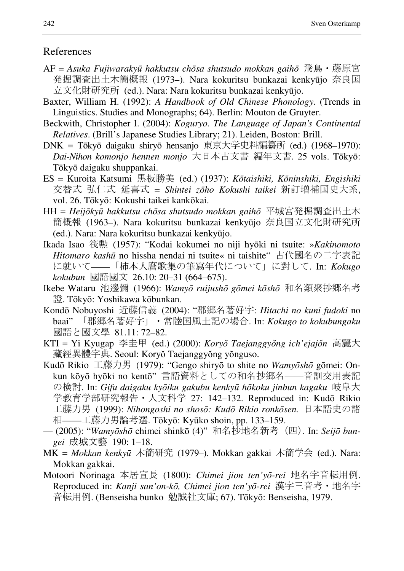## References

- AF = *Asuka Fujiwaraky*ū *hakkutsu ch*ō*sa shutsudo mokkan gaih*ō 飛鳥・藤原宮 発掘調査出土木簡概報 (1973–). Nara kokuritsu bunkazai kenkyūjo 奈良国 立文化財研究所 (ed.). Nara: Nara kokuritsu bunkazai kenkyūjo.
- Baxter, William H. (1992): *A Handbook of Old Chinese Phonology*. (Trends in Linguistics. Studies and Monographs; 64). Berlin: Mouton de Gruyter.
- Beckwith, Christopher I. (2004): *Koguryo. The Language of Japan's Continental Relatives*. (Brill's Japanese Studies Library; 21). Leiden, Boston: Brill.
- DNK = Tōkyō daigaku shiryō hensanjo 東京大学史料編纂所 (ed.) (1968–1970): *Dai-Nihon komonjo hennen monjo* 大日本古文書 編年文書. 25 vols. Tōkyō: Tōkyō daigaku shuppankai.
- ES = Kuroita Katsumi 黒板勝美 (ed.) (1937): *K*ō*taishiki, K*ō*ninshiki, Engishiki* 交替式 弘仁式 延喜式 = *Shintei z*ō*ho Kokushi taikei* 新訂増補国史大系, vol. 26. Tōkyō: Kokushi taikei kankōkai.
- HH = *Heij*ō*ky*ū *hakkutsu ch*ō*sa shutsudo mokkan gaih*ō 平城宮発掘調査出土木 簡概報 (1963–). Nara kokuritsu bunkazai kenkyūjo 奈良国立文化財研究所 (ed.). Nara: Nara kokuritsu bunkazai kenkyūjo.
- Ikada Isao 筏勲 (1957): "Kodai kokumei no niji hyōki ni tsuite: »*Kakinomoto Hitomaro kash*ū no hissha nendai ni tsuite« ni taishite" 古代國名の二字表記 に就いて——「柿本人麿歌集の筆寫年代について」に對して. In: *Kokugo kokubun* 國語國文 26.10: 20–31 (664–675).
- Ikebe Wataru 池邊彌 (1966): *Wamy*ō *ruijush*ō *g*ō*mei k*ō*sh*ō 和名類聚抄郷名考 證. Tōkyō: Yoshikawa kōbunkan.
- Kondō Nobuyoshi 近藤信義 (2004): "郡郷名著好字: *Hitachi no kuni fudoki* no baai" 「郡郷名著好字」・常陸国風土記の場合. In: *Kokugo to kokubungaku* 國語と國文學 81.11: 72–82.
- KTI = Yi Kyugap 李圭甲 (ed.) (2000): *Kory*ŏ *Taejanggy*ŏ*ng ich'ejaj*ŏ*n* 高麗大 藏經異體字典. Seoul: Koryŏ Taejanggyŏng yŏnguso.
- Kudō Rikio 工藤力男 (1979): "Gengo shiryō to shite no *Wamy*ō*sh*ō gōmei: Onkun kōyō hyōki no kentō" 言語資料としての和名抄郷名——音訓交用表記 の検討. In: *Gifu daigaku ky*ō*iku gakubu kenky*ū *h*ō*koku jinbun kagaku* 岐阜大 学教育学部研究報告・人文科学 27: 142–132. Reproduced in: Kudō Rikio 工藤力男 (1999): *Nihongoshi no shos*ō*: Kud*ō *Rikio ronk*ō*sen.* 日本語史の諸 相——工藤力男論考選. Tōkyō: Kyūko shoin, pp. 133–159.
- (2005): "*Wamy*ō*sh*ō chimei shinkō (4)" 和名抄地名新考 (四). In: *Seij*ō *bungei* 成城文藝 190: 1–18.
- MK = *Mokkan kenky*ū 木簡研究 (1979–). Mokkan gakkai 木簡学会 (ed.). Nara: Mokkan gakkai.
- Motoori Norinaga 本居宣長 (1800): *Chimei jion ten'y*ō*-rei* 地名字音転用例. Reproduced in: *Kanji san'on-k*ō*, Chimei jion ten'y*ō*-rei* 漢字三音考・地名字 音転用例. (Benseisha bunko 勉誠社文庫; 67). Tōkyō: Benseisha, 1979.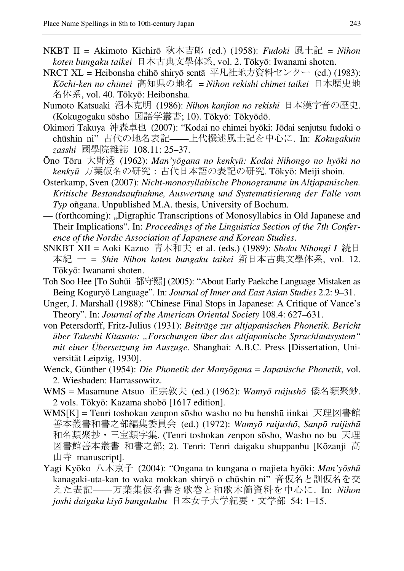- NKBT II = Akimoto Kichirō 秋本吉郎 (ed.) (1958): *Fudoki* 風土記 = *Nihon koten bungaku taikei* 日本古典文學体系, vol. 2. Tōkyō: Iwanami shoten.
- NRCT XL = Heibonsha chihō shiryō sentā 平凡社地方資料センター (ed.) (1983): *K*ō*chi-ken no chimei* 高知県の地名 = *Nihon rekishi chimei taikei* 日本歴史地 名体系, vol. 40. Tōkyō: Heibonsha.
- Numoto Katsuaki 沼本克明 (1986): *Nihon kanjion no rekishi* 日本漢字音の歴史. (Kokugogaku sōsho 国語学叢書; 10). Tōkyō: Tōkyōdō.
- Okimori Takuya 沖森卓也 (2007): "Kodai no chimei hyōki: Jōdai senjutsu fudoki o chūshin ni" 古代の地名表記——上代撰述風土記を中心に. In: *Kokugakuin zasshi* 國學院雜誌 108.11: 25–37.
- Ōno Tōru 大野透 (1962): *Man'y*ō*gana no kenky*ū*: Kodai Nihongo no hy*ō*ki no kenky*ū 万葉仮名の研究:古代日本語の表記の研究. Tōkyō: Meiji shoin.
- Osterkamp, Sven (2007): *Nicht-monosyllabische Phonogramme im Altjapanischen. Kritische Bestandsaufnahme, Auswertung und Systematisierung der Fälle vom Typ* oñgana. Unpublished M.A. thesis, University of Bochum.
- (forthcoming): "Digraphic Transcriptions of Monosyllabics in Old Japanese and Their Implications". In: *Proceedings of the Linguistics Section of the 7th Conference of the Nordic Association of Japanese and Korean Studies*.
- SNKBT XII = Aoki Kazuo 青木和夫 et al. (eds.) (1989): *Shoku Nihongi I* 続日 本紀 一 = *Shin Nihon koten bungaku taikei* 新日本古典文學体系, vol. 12. Tōkyō: Iwanami shoten.
- Toh Soo Hee [To Suhŭi 都守熙] (2005): "About Early Paekche Language Mistaken as Being Koguryŏ Language". In: *Journal of Inner and East Asian Studies* 2.2: 9–31.
- Unger, J. Marshall (1988): "Chinese Final Stops in Japanese: A Critique of Vance's Theory". In: *Journal of the American Oriental Society* 108.4: 627–631.
- von Petersdorff, Fritz-Julius (1931): *Beiträge zur altjapanischen Phonetik. Bericht über Takeshi Kitasato: "Forschungen über das altjapanische Sprachlautsystem" mit einer Übersetzung im Auszuge*. Shanghai: A.B.C. Press [Dissertation, Universität Leipzig, 1930].
- Wenck, Günther (1954): *Die Phonetik der Many*ō*gana* = *Japanische Phonetik*, vol. 2. Wiesbaden: Harrassowitz.
- WMS = Masamune Atsuo 正宗敦夫 (ed.) (1962): *Wamy*ō *ruijush*ō 倭名類聚鈔. 2 vols. Tōkyō: Kazama shobō [1617 edition].
- WMS[K] = Tenri toshokan zenpon sōsho washo no bu henshū iinkai 天理図書館 善本叢書和書之部編集委員会 (ed.) (1972): *Wamy*ō *ruijush*ō, *Sanp*ō *ruijish*ū 和名類聚抄・三宝類字集. (Tenri toshokan zenpon sōsho, Washo no bu 天理 図書館善本叢書 和書之部; 2). Tenri: Tenri daigaku shuppanbu [Kōzanji 高 山寺 manuscript].
- Yagi Kyōko 八木京子 (2004): "Ongana to kungana o majieta hyōki: *Man'y*ō*sh*ū kanagaki-uta-kan to waka mokkan shiryō o chūshin ni" 音仮名と訓仮名を交 えた表記——万葉集仮名書き歌巻と和歌木簡資料を中心に. In: *Nihon joshi daigaku kiy*ō *bungakubu* 日本女子大学紀要・文学部 54: 1–15.